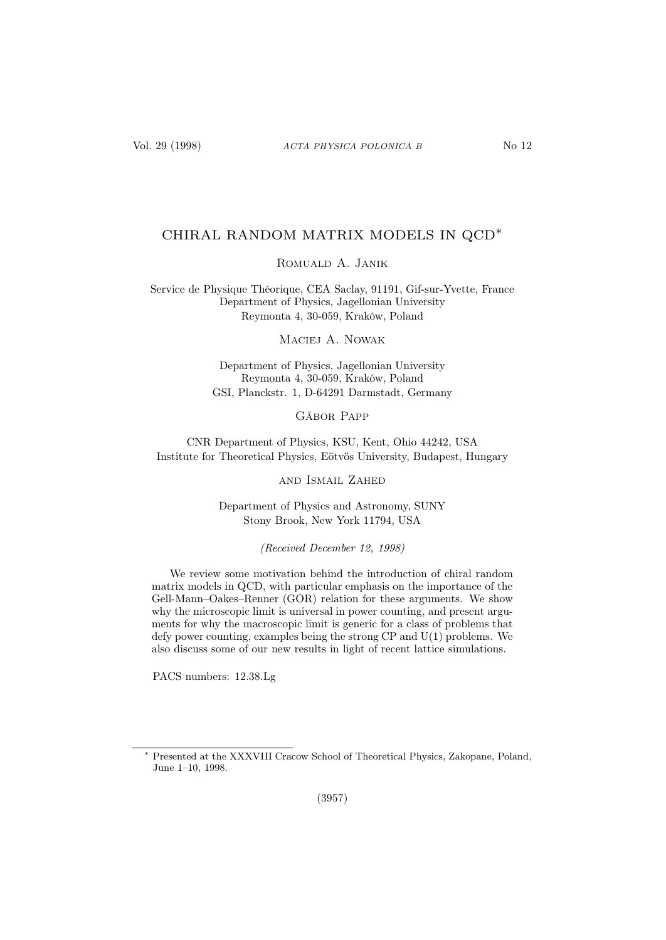# CHIRAL RANDOM MATRIX MODELS IN QCD∗

## Romuald A. Janik

Service de Physique Théorique, CEA Saclay, 91191, Gif-sur-Yvette, France Department of Physics, Jagellonian University Reymonta 4, 30-059, Kraków, Poland

Maciej A. Nowak

Department of Physics, Jagellonian University Reymonta 4, 30-059, Kraków, Poland GSI, Planckstr. 1, D-64291 Darmstadt, Germany

Gábor Papp

CNR Department of Physics, KSU, Kent, Ohio 44242, USA Institute for Theoretical Physics, Eötvös University, Budapest, Hungary

and Ismail Zahed

Department of Physics and Astronomy, SUNY Stony Brook, New York 11794, USA

(Received December 12, 1998)

We review some motivation behind the introduction of chiral random matrix models in QCD, with particular emphasis on the importance of the Gell-Mann–Oakes–Renner (GOR) relation for these arguments. We show why the microscopic limit is universal in power counting, and present arguments for why the macroscopic limit is generic for a class of problems that defy power counting, examples being the strong CP and U(1) problems. We also discuss some of our new results in light of recent lattice simulations.

PACS numbers: 12.38.Lg

Presented at the XXXVIII Cracow School of Theoretical Physics, Zakopane, Poland, June 1–10, 1998.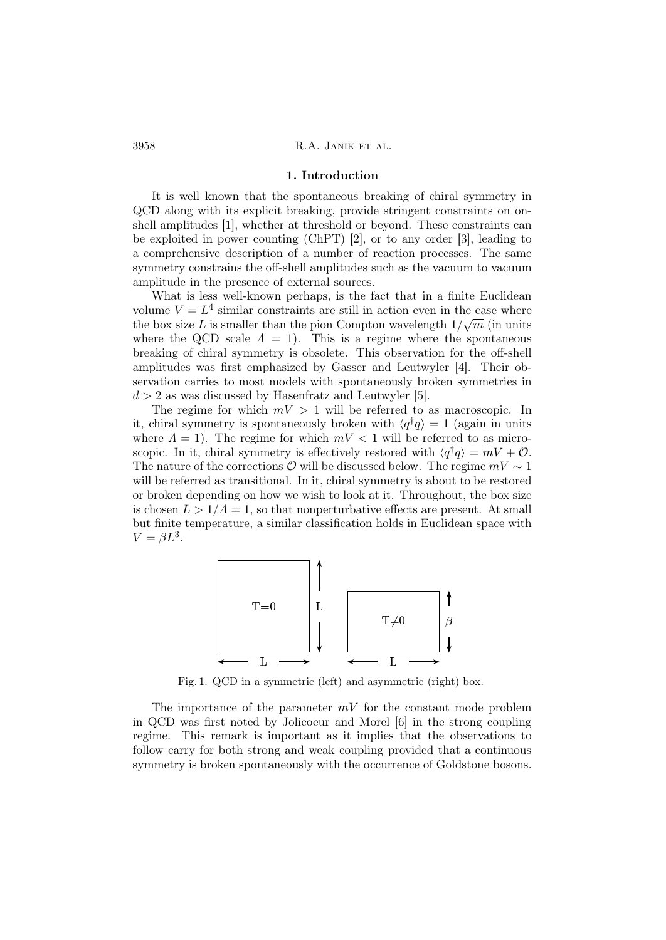#### 1. Introduction

It is well known that the spontaneous breaking of chiral symmetry in QCD along with its explicit breaking, provide stringent constraints on onshell amplitudes [1], whether at threshold or beyond. These constraints can be exploited in power counting (ChPT) [2], or to any order [3], leading to a comprehensive description of a number of reaction processes. The same symmetry constrains the off-shell amplitudes such as the vacuum to vacuum amplitude in the presence of external sources.

What is less well-known perhaps, is the fact that in a finite Euclidean volume  $V = L<sup>4</sup>$  similar constraints are still in action even in the case where the box size L is smaller than the pion Compton wavelength  $1/\sqrt{m}$  (in units where the QCD scale  $\Lambda = 1$ . This is a regime where the spontaneous breaking of chiral symmetry is obsolete. This observation for the off-shell amplitudes was first emphasized by Gasser and Leutwyler [4]. Their observation carries to most models with spontaneously broken symmetries in  $d > 2$  as was discussed by Hasenfratz and Leutwyler [5].

The regime for which  $mV > 1$  will be referred to as macroscopic. In it, chiral symmetry is spontaneously broken with  $\langle q^{\dagger}q \rangle = 1$  (again in units where  $\Lambda = 1$ ). The regime for which  $mV < 1$  will be referred to as microscopic. In it, chiral symmetry is effectively restored with  $\langle q^{\dagger}q \rangle = mV + \mathcal{O}$ . The nature of the corrections  $\mathcal O$  will be discussed below. The regime  $mV \sim 1$ will be referred as transitional. In it, chiral symmetry is about to be restored or broken depending on how we wish to look at it. Throughout, the box size is chosen  $L > 1/\Lambda = 1$ , so that nonperturbative effects are present. At small but finite temperature, a similar classification holds in Euclidean space with  $V = \beta L^3$ .



Fig. 1. QCD in a symmetric (left) and asymmetric (right) box.

The importance of the parameter  $mV$  for the constant mode problem in QCD was first noted by Jolicoeur and Morel [6] in the strong coupling regime. This remark is important as it implies that the observations to follow carry for both strong and weak coupling provided that a continuous symmetry is broken spontaneously with the occurrence of Goldstone bosons.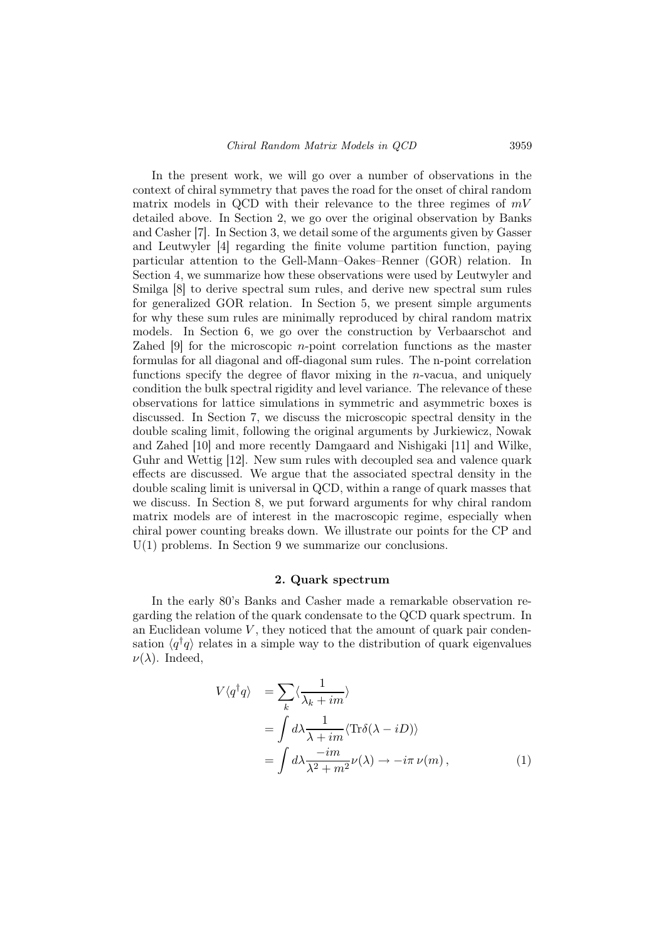In the present work, we will go over a number of observations in the context of chiral symmetry that paves the road for the onset of chiral random matrix models in QCD with their relevance to the three regimes of  $mV$ detailed above. In Section 2, we go over the original observation by Banks and Casher [7]. In Section 3, we detail some of the arguments given by Gasser and Leutwyler [4] regarding the finite volume partition function, paying particular attention to the Gell-Mann–Oakes–Renner (GOR) relation. In Section 4, we summarize how these observations were used by Leutwyler and Smilga [8] to derive spectral sum rules, and derive new spectral sum rules for generalized GOR relation. In Section 5, we present simple arguments for why these sum rules are minimally reproduced by chiral random matrix models. In Section 6, we go over the construction by Verbaarschot and Zahed [9] for the microscopic n-point correlation functions as the master formulas for all diagonal and off-diagonal sum rules. The n-point correlation functions specify the degree of flavor mixing in the  $n$ -vacua, and uniquely condition the bulk spectral rigidity and level variance. The relevance of these observations for lattice simulations in symmetric and asymmetric boxes is discussed. In Section 7, we discuss the microscopic spectral density in the double scaling limit, following the original arguments by Jurkiewicz, Nowak and Zahed [10] and more recently Damgaard and Nishigaki [11] and Wilke, Guhr and Wettig [12]. New sum rules with decoupled sea and valence quark effects are discussed. We argue that the associated spectral density in the double scaling limit is universal in QCD, within a range of quark masses that we discuss. In Section 8, we put forward arguments for why chiral random matrix models are of interest in the macroscopic regime, especially when chiral power counting breaks down. We illustrate our points for the CP and  $U(1)$  problems. In Section 9 we summarize our conclusions.

## 2. Quark spectrum

In the early 80's Banks and Casher made a remarkable observation regarding the relation of the quark condensate to the QCD quark spectrum. In an Euclidean volume  $V$ , they noticed that the amount of quark pair condensation  $\langle q^{\dagger}q \rangle$  relates in a simple way to the distribution of quark eigenvalues  $\nu(\lambda)$ . Indeed,

$$
V\langle q^{\dagger}q \rangle = \sum_{k} \langle \frac{1}{\lambda_{k} + im} \rangle
$$
  
=  $\int d\lambda \frac{1}{\lambda + im} \langle Tr \delta(\lambda - iD) \rangle$   
=  $\int d\lambda \frac{-im}{\lambda^{2} + m^{2}} \nu(\lambda) \to -i\pi \nu(m),$  (1)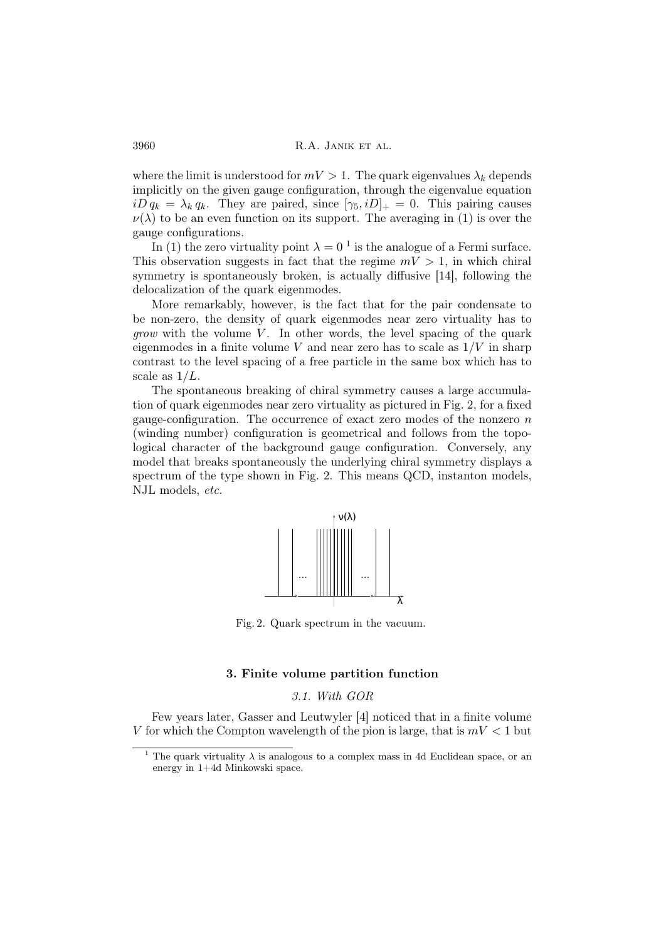where the limit is understood for  $mV > 1$ . The quark eigenvalues  $\lambda_k$  depends implicitly on the given gauge configuration, through the eigenvalue equation  $iD q_k = \lambda_k q_k$ . They are paired, since  $[\gamma_5, iD]_+ = 0$ . This pairing causes  $\nu(\lambda)$  to be an even function on its support. The averaging in (1) is over the gauge configurations.

In (1) the zero virtuality point  $\lambda = 0^{-1}$  is the analogue of a Fermi surface. This observation suggests in fact that the regime  $mV > 1$ , in which chiral symmetry is spontaneously broken, is actually diffusive [14], following the delocalization of the quark eigenmodes.

More remarkably, however, is the fact that for the pair condensate to be non-zero, the density of quark eigenmodes near zero virtuality has to *grow* with the volume  $V$ . In other words, the level spacing of the quark eigenmodes in a finite volume V and near zero has to scale as  $1/V$  in sharp contrast to the level spacing of a free particle in the same box which has to scale as  $1/L$ .

The spontaneous breaking of chiral symmetry causes a large accumulation of quark eigenmodes near zero virtuality as pictured in Fig. 2, for a fixed gauge-configuration. The occurrence of exact zero modes of the nonzero  $n$ (winding number) configuration is geometrical and follows from the topological character of the background gauge configuration. Conversely, any model that breaks spontaneously the underlying chiral symmetry displays a spectrum of the type shown in Fig. 2. This means QCD, instanton models, NJL models, etc.



Fig. 2. Quark spectrum in the vacuum.

### 3. Finite volume partition function

### 3.1. With GOR

Few years later, Gasser and Leutwyler [4] noticed that in a finite volume V for which the Compton wavelength of the pion is large, that is  $mV < 1$  but

The quark virtuality  $\lambda$  is analogous to a complex mass in 4d Euclidean space, or an energy in 1+4d Minkowski space.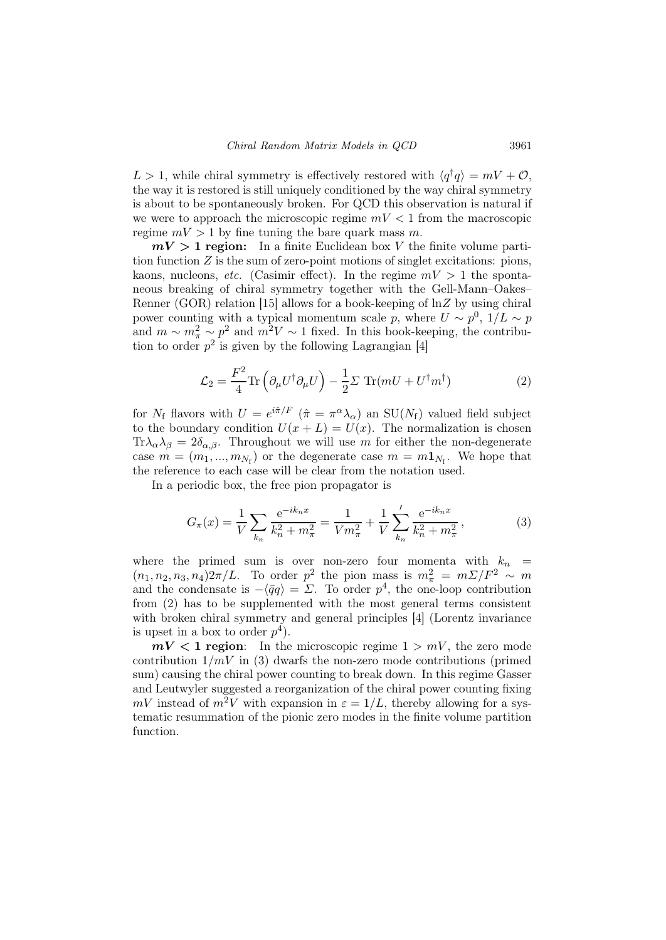$L > 1$ , while chiral symmetry is effectively restored with  $\langle q^{\dagger} q \rangle = mV + \mathcal{O}$ , the way it is restored is still uniquely conditioned by the way chiral symmetry is about to be spontaneously broken. For QCD this observation is natural if we were to approach the microscopic regime  $mV < 1$  from the macroscopic regime  $mV > 1$  by fine tuning the bare quark mass m.

 $mV > 1$  region: In a finite Euclidean box V the finite volume partition function  $Z$  is the sum of zero-point motions of singlet excitations: pions, kaons, nucleons, *etc.* (Casimir effect). In the regime  $mV > 1$  the spontaneous breaking of chiral symmetry together with the Gell-Mann–Oakes– Renner (GOR) relation [15] allows for a book-keeping of  $\ln Z$  by using chiral power counting with a typical momentum scale p, where  $U \sim p^0$ ,  $1/L \sim p$ and  $m \sim m_{\pi}^2 \sim p^2$  and  $m^2 V \sim 1$  fixed. In this book-keeping, the contribution to order  $p^2$  is given by the following Lagrangian [4]

$$
\mathcal{L}_2 = \frac{F^2}{4} \text{Tr} \left( \partial_{\mu} U^{\dagger} \partial_{\mu} U \right) - \frac{1}{2} \Sigma \text{ Tr} (mU + U^{\dagger} m^{\dagger}) \tag{2}
$$

for  $N_f$  flavors with  $U = e^{i\hat{\pi}/F} (\hat{\pi} = \pi^{\alpha} \lambda_{\alpha})$  an SU( $N_f$ ) valued field subject to the boundary condition  $U(x + L) = U(x)$ . The normalization is chosen  $Tr \lambda_{\alpha} \lambda_{\beta} = 2 \delta_{\alpha,\beta}$ . Throughout we will use m for either the non-degenerate case  $m = (m_1, ..., m_{N_f})$  or the degenerate case  $m = m \mathbf{1}_{N_f}$ . We hope that the reference to each case will be clear from the notation used.

In a periodic box, the free pion propagator is

$$
G_{\pi}(x) = \frac{1}{V} \sum_{k_n} \frac{e^{-ik_n x}}{k_n^2 + m_{\pi}^2} = \frac{1}{V m_{\pi}^2} + \frac{1}{V} \sum_{k_n}^{\prime} \frac{e^{-ik_n x}}{k_n^2 + m_{\pi}^2},
$$
(3)

where the primed sum is over non-zero four momenta with  $k_n$  =  $(n_1, n_2, n_3, n_4)2\pi/L$ . To order  $p^2$  the pion mass is  $m_\pi^2 = m\Sigma/F_\pi^2 \sim m$ and the condensate is  $-\langle \bar{q}q \rangle = \Sigma$ . To order  $p^4$ , the one-loop contribution from (2) has to be supplemented with the most general terms consistent with broken chiral symmetry and general principles [4] (Lorentz invariance is upset in a box to order  $p<sup>4</sup>$ ).

 $mV < 1$  region: In the microscopic regime  $1 > mV$ , the zero mode contribution  $1/mV$  in (3) dwarfs the non-zero mode contributions (primed sum) causing the chiral power counting to break down. In this regime Gasser and Leutwyler suggested a reorganization of the chiral power counting fixing  $mV$  instead of  $m^2V$  with expansion in  $\varepsilon = 1/L$ , thereby allowing for a systematic resummation of the pionic zero modes in the finite volume partition function.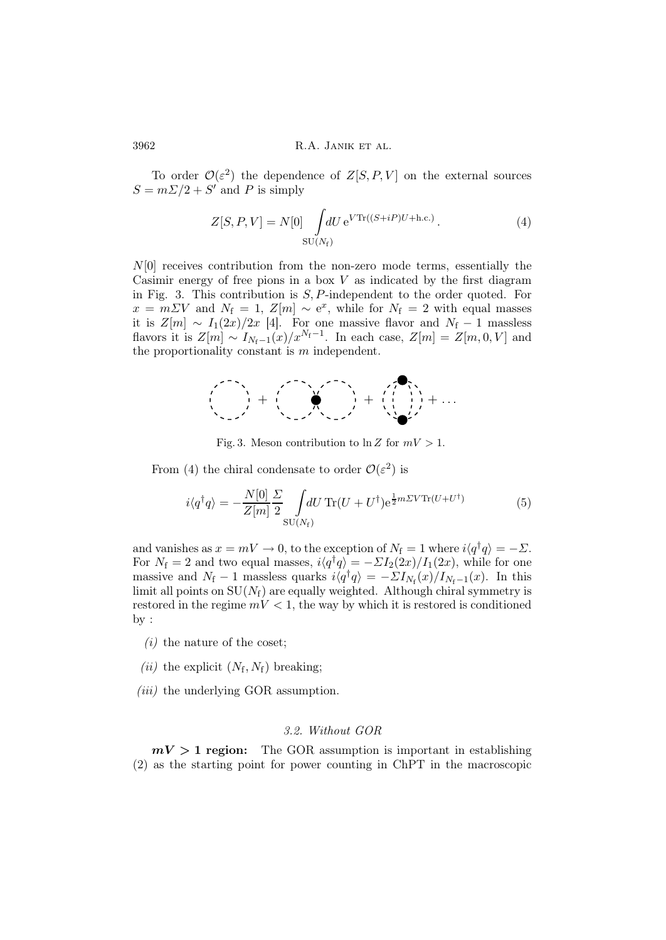To order  $\mathcal{O}(\varepsilon^2)$  the dependence of  $Z[S, P, V]$  on the external sources  $S = m\sum/2 + S'$  and P is simply

$$
Z[S, P, V] = N[0] \int dU e^{V \text{Tr}((S+iP)U + \text{h.c.})}.
$$
\n
$$
\text{SU}(N_f)
$$
\n(4)

 $N[0]$  receives contribution from the non-zero mode terms, essentially the Casimir energy of free pions in a box  $V$  as indicated by the first diagram in Fig. 3. This contribution is  $S$ ,  $P$ -independent to the order quoted. For  $x = m \Sigma V$  and  $N_f = 1$ ,  $Z[m] \sim e^x$ , while for  $N_f = 2$  with equal masses it is  $Z[m] \sim I_1(2x)/2x$  [4]. For one massive flavor and  $N_f - 1$  massless flavors it is  $Z[m] \sim I_{N_f-1}(x)/x^{N_f-1}$ . In each case,  $Z[m] = Z[m, 0, V]$  and the proportionality constant is m independent.



Fig. 3. Meson contribution to  $\ln Z$  for  $mV > 1$ .

From (4) the chiral condensate to order  $\mathcal{O}(\varepsilon^2)$  is

$$
i\langle q^{\dagger}q\rangle = -\frac{N[0]}{Z[m]} \frac{\Sigma}{2} \int dU \operatorname{Tr}(U + U^{\dagger}) e^{\frac{1}{2}m\Sigma V \operatorname{Tr}(U + U^{\dagger})}
$$
(5)

and vanishes as  $x = mV \to 0$ , to the exception of  $N_f = 1$  where  $i\langle q^{\dagger}q \rangle = -\Sigma$ . For  $N_f = 2$  and two equal masses,  $i\langle q^\dagger q \rangle = -\Sigma I_2(2x)/I_1(2x)$ , while for one massive and  $N_f - 1$  massless quarks  $i\langle q^\dagger q \rangle = -\Sigma I_{N_f}(x)/I_{N_f-1}(x)$ . In this limit all points on  $SU(N_f)$  are equally weighted. Although chiral symmetry is restored in the regime  $mV < 1$ , the way by which it is restored is conditioned by :

- $(i)$  the nature of the coset;
- (*ii*) the explicit  $(N_f, N_f)$  breaking;
- (*iii*) the underlying GOR assumption.

## 3.2. Without GOR

 $mV > 1$  region: The GOR assumption is important in establishing (2) as the starting point for power counting in ChPT in the macroscopic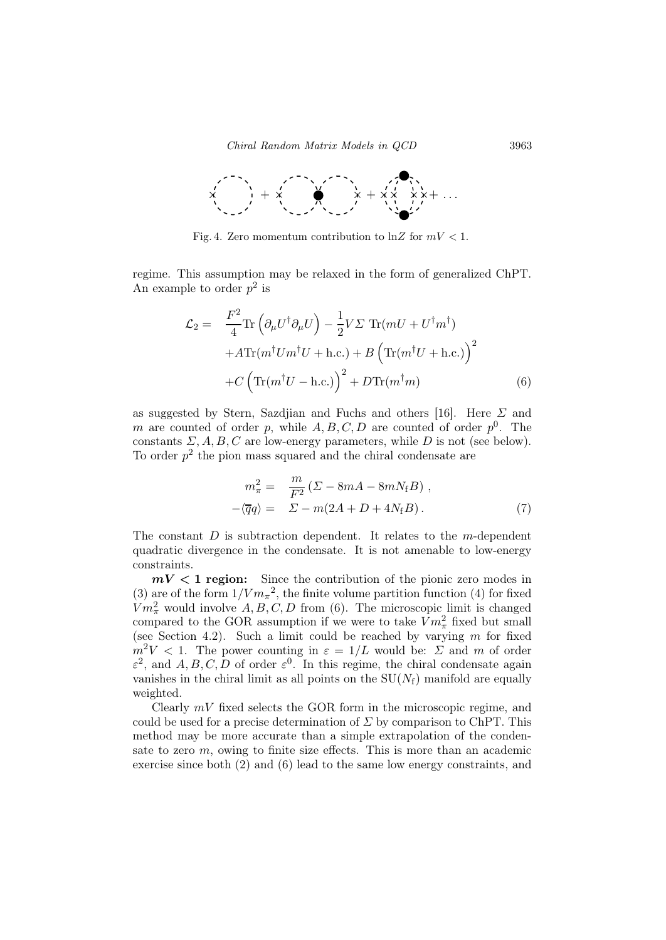

Fig. 4. Zero momentum contribution to  $\ln Z$  for  $mV < 1$ .

regime. This assumption may be relaxed in the form of generalized ChPT. An example to order  $p^2$  is

$$
\mathcal{L}_2 = \frac{F^2}{4} \text{Tr} \left( \partial_{\mu} U^{\dagger} \partial_{\mu} U \right) - \frac{1}{2} V \Sigma \text{ Tr} (mU + U^{\dagger} m^{\dagger}) \n+ A \text{Tr} (m^{\dagger} U m^{\dagger} U + \text{h.c.}) + B \left( \text{Tr} (m^{\dagger} U + \text{h.c.}) \right)^2 \n+ C \left( \text{Tr} (m^{\dagger} U - \text{h.c.}) \right)^2 + D \text{Tr} (m^{\dagger} m)
$$
\n(6)

as suggested by Stern, Sazdiian and Fuchs and others [16]. Here  $\Sigma$  and m are counted of order p, while  $A, B, C, D$  are counted of order  $p^0$ . The constants  $\Sigma$ , A, B, C are low-energy parameters, while D is not (see below). To order  $p^2$  the pion mass squared and the chiral condensate are

$$
m_{\pi}^{2} = \frac{m}{F^{2}} \left( \Sigma - 8mA - 8mN_{\text{f}}B \right),
$$
  

$$
-\langle \overline{q}q \rangle = \Sigma - m(2A + D + 4N_{\text{f}}B). \tag{7}
$$

The constant  $D$  is subtraction dependent. It relates to the m-dependent quadratic divergence in the condensate. It is not amenable to low-energy constraints.

 $mV < 1$  region: Since the contribution of the pionic zero modes in (3) are of the form  $1/V m_{\pi}^2$ , the finite volume partition function (4) for fixed  $Vm_{\pi}^2$  would involve  $A, B, C, D$  from (6). The microscopic limit is changed compared to the GOR assumption if we were to take  $Vm_\pi^2$  fixed but small (see Section 4.2). Such a limit could be reached by varying  $m$  for fixed  $m^2V < 1$ . The power counting in  $\varepsilon = 1/L$  would be:  $\Sigma$  and m of order  $\varepsilon^2$ , and  $A, B, C, D$  of order  $\varepsilon^0$ . In this regime, the chiral condensate again vanishes in the chiral limit as all points on the  $SU(N_f)$  manifold are equally weighted.

Clearly  $mV$  fixed selects the GOR form in the microscopic regime, and could be used for a precise determination of  $\Sigma$  by comparison to ChPT. This method may be more accurate than a simple extrapolation of the condensate to zero  $m$ , owing to finite size effects. This is more than an academic exercise since both (2) and (6) lead to the same low energy constraints, and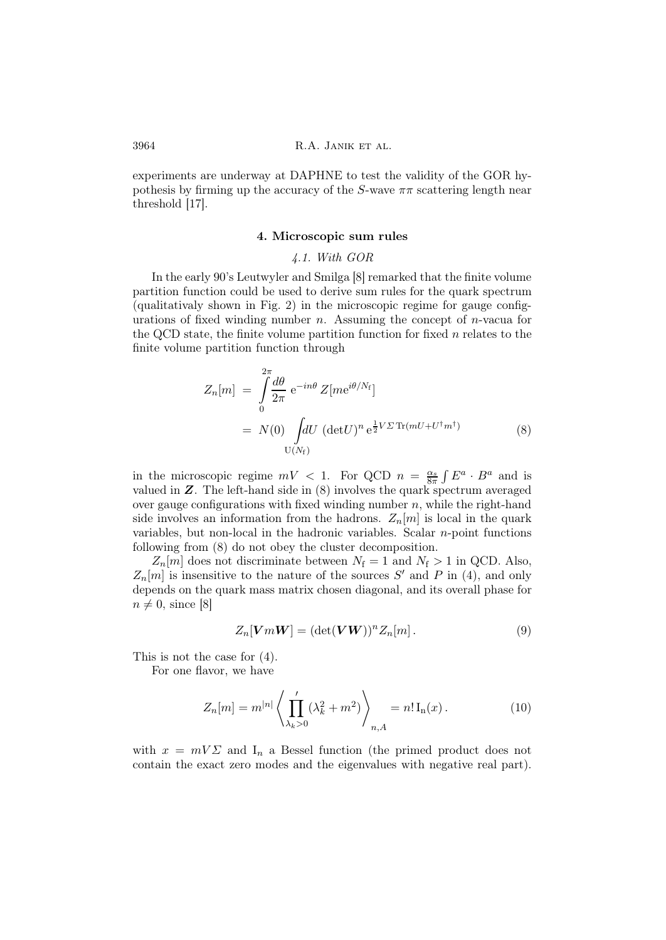experiments are underway at DAPHNE to test the validity of the GOR hypothesis by firming up the accuracy of the S-wave  $\pi\pi$  scattering length near threshold [17].

## 4. Microscopic sum rules

### 4.1. With GOR

In the early 90's Leutwyler and Smilga [8] remarked that the finite volume partition function could be used to derive sum rules for the quark spectrum (qualitativaly shown in Fig. 2) in the microscopic regime for gauge configurations of fixed winding number  $n$ . Assuming the concept of  $n$ -vacua for the QCD state, the finite volume partition function for fixed  $n$  relates to the finite volume partition function through

$$
Z_n[m] = \int_0^{2\pi} \frac{d\theta}{2\pi} e^{-in\theta} Z[m e^{i\theta/N_f}]
$$
  
=  $N(0) \int dU (\det U)^n e^{\frac{1}{2}V\Sigma \operatorname{Tr}(mU + U^\dagger m^\dagger)}$  (8)

in the microscopic regime  $mV < 1$ . For QCD  $n = \frac{\alpha_s}{8\pi} \int E^a \cdot B^a$  and is valued in Z. The left-hand side in (8) involves the quark spectrum averaged over gauge configurations with fixed winding number  $n$ , while the right-hand side involves an information from the hadrons.  $Z_n[m]$  is local in the quark variables, but non-local in the hadronic variables. Scalar  $n$ -point functions following from (8) do not obey the cluster decomposition.

 $Z_n[m]$  does not discriminate between  $N_f = 1$  and  $N_f > 1$  in QCD. Also,  $Z_n[m]$  is insensitive to the nature of the sources S' and P in (4), and only depends on the quark mass matrix chosen diagonal, and its overall phase for  $n \neq 0$ , since [8]

$$
Z_n[VmW] = (\det(VW))^n Z_n[m]. \qquad (9)
$$

This is not the case for (4).

For one flavor, we have

$$
Z_n[m] = m^{|n|} \left\langle \prod_{\lambda_k > 0}^{\prime} (\lambda_k^2 + m^2) \right\rangle_{n, A} = n! \operatorname{I}_n(x). \tag{10}
$$

with  $x = mV\Sigma$  and  $I_n$  a Bessel function (the primed product does not contain the exact zero modes and the eigenvalues with negative real part).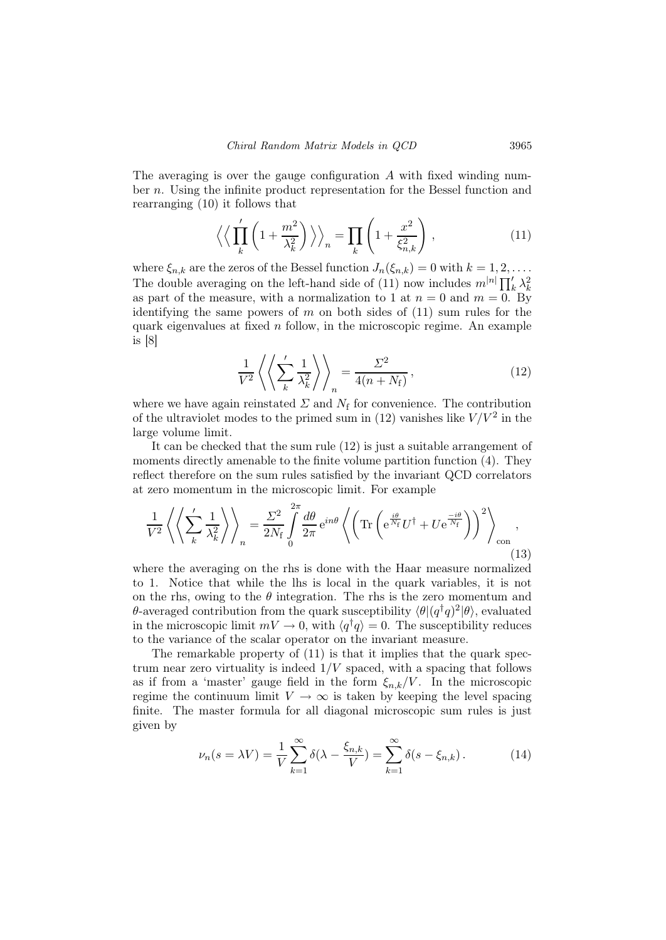The averaging is over the gauge configuration  $\tilde{A}$  with fixed winding number n. Using the infinite product representation for the Bessel function and rearranging (10) it follows that

$$
\left\langle \left\langle \prod_{k}^{'} \left(1 + \frac{m^2}{\lambda_k^2}\right) \right\rangle \right\rangle_n = \prod_{k} \left(1 + \frac{x^2}{\xi_{n,k}^2}\right),\tag{11}
$$

where  $\xi_{n,k}$  are the zeros of the Bessel function  $J_n(\xi_{n,k}) = 0$  with  $k = 1, 2, \ldots$ . The double averaging on the left-hand side of (11) now includes  $m^{|n|} \prod_k^{\prime} \lambda_k^2$ as part of the measure, with a normalization to 1 at  $n = 0$  and  $m = 0$ . By identifying the same powers of  $m$  on both sides of  $(11)$  sum rules for the quark eigenvalues at fixed  $n$  follow, in the microscopic regime. An example is [8]

$$
\frac{1}{V^2} \left\langle \left\langle \sum_{k}^{'} \frac{1}{\lambda_k^2} \right\rangle \right\rangle_n = \frac{\Sigma^2}{4(n+N_f)},\tag{12}
$$

where we have again reinstated  $\Sigma$  and  $N_f$  for convenience. The contribution of the ultraviolet modes to the primed sum in  $(12)$  vanishes like  $V / V^2$  in the large volume limit.

It can be checked that the sum rule (12) is just a suitable arrangement of moments directly amenable to the finite volume partition function (4). They reflect therefore on the sum rules satisfied by the invariant QCD correlators at zero momentum in the microscopic limit. For example

$$
\frac{1}{V^2} \left\langle \left\langle \sum_{k}^{'} \frac{1}{\lambda_k^2} \right\rangle \right\rangle_n = \frac{\Sigma^2}{2N_f} \int_0^{2\pi} \frac{d\theta}{2\pi} e^{in\theta} \left\langle \left( \text{Tr} \left( e^{\frac{i\theta}{N_f}} U^{\dagger} + U e^{\frac{-i\theta}{N_f}} \right) \right)^2 \right\rangle_{\text{con}} , \tag{13}
$$

where the averaging on the rhs is done with the Haar measure normalized to 1. Notice that while the lhs is local in the quark variables, it is not on the rhs, owing to the  $\theta$  integration. The rhs is the zero momentum and θ-averaged contribution from the quark susceptibility  $\langle \theta | (q^\dagger q)^2 | \theta \rangle$ , evaluated in the microscopic limit  $mV \to 0$ , with  $\langle q^{\dagger}q \rangle = 0$ . The susceptibility reduces to the variance of the scalar operator on the invariant measure.

The remarkable property of (11) is that it implies that the quark spectrum near zero virtuality is indeed  $1/V$  spaced, with a spacing that follows as if from a 'master' gauge field in the form  $\xi_{n,k}/V$ . In the microscopic regime the continuum limit  $V \to \infty$  is taken by keeping the level spacing finite. The master formula for all diagonal microscopic sum rules is just given by

$$
\nu_n(s = \lambda V) = \frac{1}{V} \sum_{k=1}^{\infty} \delta(\lambda - \frac{\xi_{n,k}}{V}) = \sum_{k=1}^{\infty} \delta(s - \xi_{n,k}).
$$
 (14)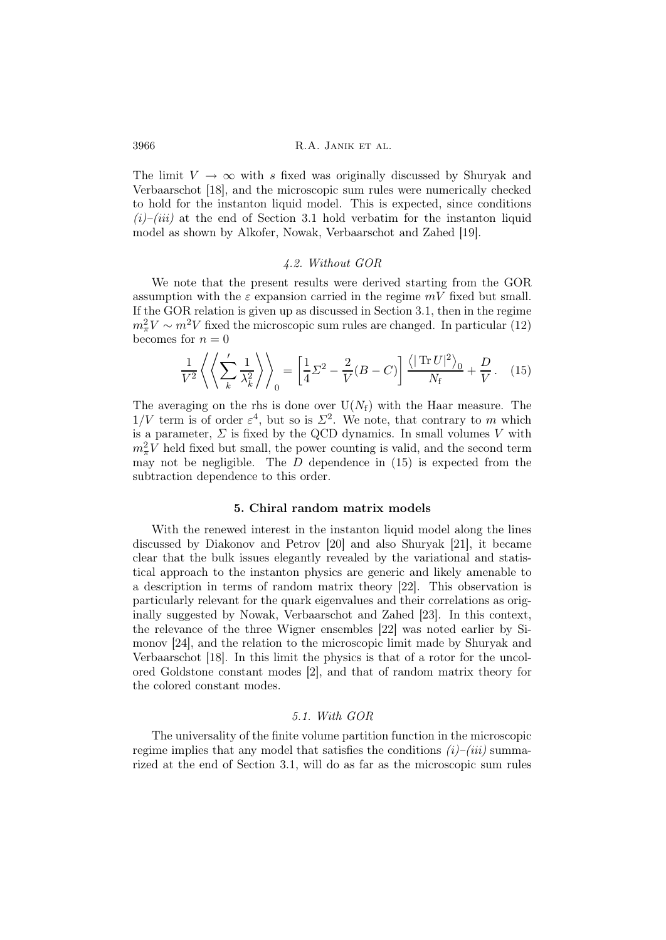The limit  $V \to \infty$  with s fixed was originally discussed by Shuryak and Verbaarschot [18], and the microscopic sum rules were numerically checked to hold for the instanton liquid model. This is expected, since conditions  $(i)$ – $(iii)$  at the end of Section 3.1 hold verbatim for the instanton liquid model as shown by Alkofer, Nowak, Verbaarschot and Zahed [19].

## 4.2. Without GOR

We note that the present results were derived starting from the GOR assumption with the  $\varepsilon$  expansion carried in the regime  $mV$  fixed but small. If the GOR relation is given up as discussed in Section 3.1, then in the regime  $m_{\pi}^2 V \sim m^2 V$  fixed the microscopic sum rules are changed. In particular (12) becomes for  $n = 0$ 

$$
\frac{1}{V^2} \left\langle \left\langle \sum_{k} \frac{1}{\lambda_k^2} \right\rangle \right\rangle_0 = \left[ \frac{1}{4} \Sigma^2 - \frac{2}{V} (B - C) \right] \frac{\left\langle |\operatorname{Tr} U|^2 \right\rangle_0}{N_f} + \frac{D}{V} . \quad (15)
$$

The averaging on the rhs is done over  $U(N_f)$  with the Haar measure. The  $1/V$  term is of order  $\varepsilon^4$ , but so is  $\Sigma^2$ . We note, that contrary to m which is a parameter,  $\Sigma$  is fixed by the QCD dynamics. In small volumes V with  $m_{\pi}^2 V$  held fixed but small, the power counting is valid, and the second term may not be negligible. The  $D$  dependence in  $(15)$  is expected from the subtraction dependence to this order.

### 5. Chiral random matrix models

With the renewed interest in the instanton liquid model along the lines discussed by Diakonov and Petrov [20] and also Shuryak [21], it became clear that the bulk issues elegantly revealed by the variational and statistical approach to the instanton physics are generic and likely amenable to a description in terms of random matrix theory [22]. This observation is particularly relevant for the quark eigenvalues and their correlations as originally suggested by Nowak, Verbaarschot and Zahed [23]. In this context, the relevance of the three Wigner ensembles [22] was noted earlier by Simonov [24], and the relation to the microscopic limit made by Shuryak and Verbaarschot [18]. In this limit the physics is that of a rotor for the uncolored Goldstone constant modes [2], and that of random matrix theory for the colored constant modes.

### 5.1. With GOR

The universality of the finite volume partition function in the microscopic regime implies that any model that satisfies the conditions  $(i)$ – $(iii)$  summarized at the end of Section 3.1, will do as far as the microscopic sum rules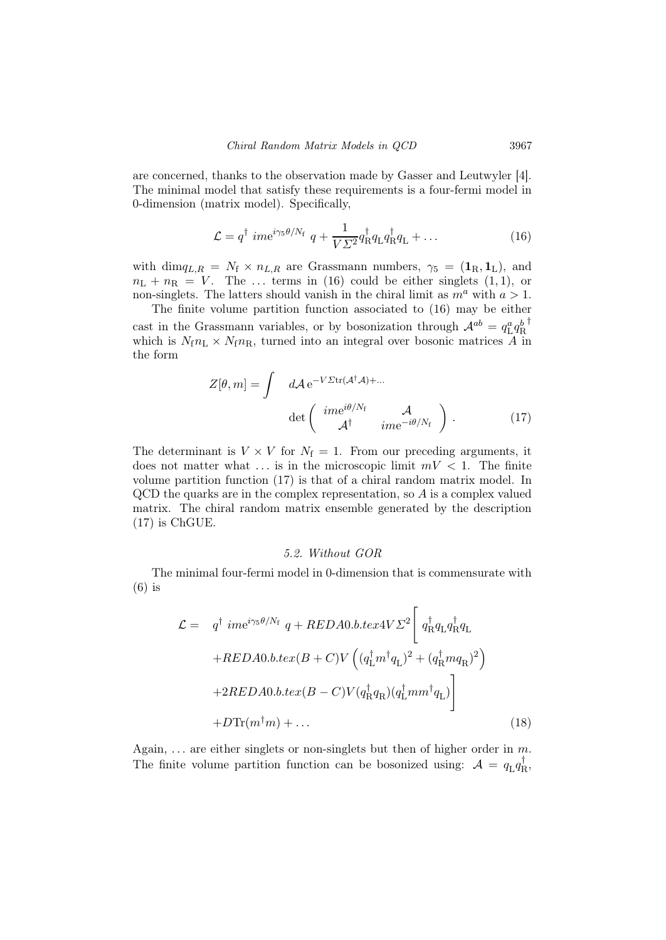are concerned, thanks to the observation made by Gasser and Leutwyler [4]. The minimal model that satisfy these requirements is a four-fermi model in 0-dimension (matrix model). Specifically,

$$
\mathcal{L} = q^{\dagger} \text{ ime}^{i\gamma_5 \theta/N_{\text{f}}} \ q + \frac{1}{V\Sigma^2} q_{\text{R}}^{\dagger} q_{\text{L}} q_{\text{R}}^{\dagger} q_{\text{L}} + \dots \tag{16}
$$

with dim $q_{L,R} = N_f \times n_{L,R}$  are Grassmann numbers,  $\gamma_5 = (\mathbf{1}_R, \mathbf{1}_L)$ , and  $n_{\text{L}} + n_{\text{R}} = V$ . The ... terms in (16) could be either singlets (1, 1), or non-singlets. The latters should vanish in the chiral limit as  $m^a$  with  $a > 1$ .

The finite volume partition function associated to (16) may be either cast in the Grassmann variables, or by bosonization through  $A^{ab} = q_{\text{L}}^a q_{\text{R}}^b$ † which is  $N_f n_L \times N_f n_R$ , turned into an integral over bosonic matrices A in the form

$$
Z[\theta, m] = \int d\mathcal{A} e^{-V \Sigma \text{tr}(\mathcal{A}^{\dagger} \mathcal{A}) + \dots}
$$

$$
\det \begin{pmatrix} im e^{i\theta/N_{\text{f}}} & \mathcal{A} \\ \mathcal{A}^{\dagger} & im e^{-i\theta/N_{\text{f}}} \end{pmatrix}.
$$
(17)

The determinant is  $V \times V$  for  $N_f = 1$ . From our preceding arguments, it does not matter what  $\dots$  is in the microscopic limit  $mV < 1$ . The finite volume partition function (17) is that of a chiral random matrix model. In  $QCD$  the quarks are in the complex representation, so  $A$  is a complex valued matrix. The chiral random matrix ensemble generated by the description (17) is ChGUE.

#### 5.2. Without GOR

The minimal four-fermi model in 0-dimension that is commensurate with (6) is

$$
\mathcal{L} = q^{\dagger} ime^{i\gamma_5 \theta/N_{\rm f}} q + REDA0.b.textV \Sigma^2 \left[ q^{\dagger}_{\rm R} q_{\rm L} q^{\dagger}_{\rm R} q_{\rm L} + REDA0.b.text(B + C)V \left( (q^{\dagger}_{\rm L} m^{\dagger} q_{\rm L})^2 + (q^{\dagger}_{\rm R} m q_{\rm R})^2 \right) \right]
$$
  
+2REDA0.b.text(B - C)V (q^{\dagger}\_{\rm R} q\_{\rm R}) (q^{\dagger}\_{\rm L} m m^{\dagger} q\_{\rm L})  
+D \text{Tr}(m^{\dagger} m) + ... \qquad (18)

Again,  $\ldots$  are either singlets or non-singlets but then of higher order in m. The finite volume partition function can be bosonized using:  $A = q_L q_R^{\dagger}$  $_{\rm R}^{\rm +},$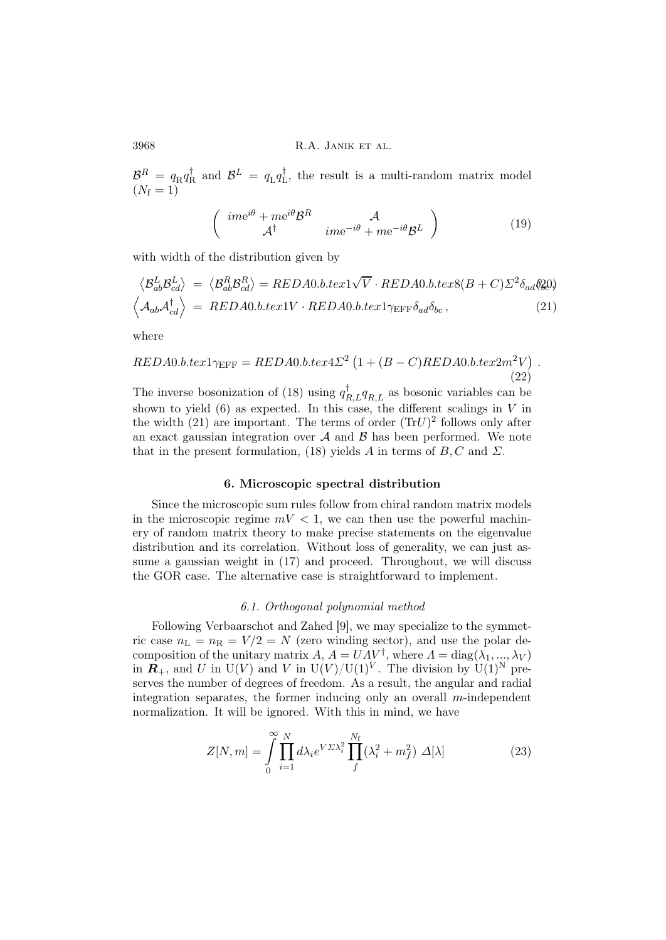$\mathcal{B}^R = q_\text{R} q_\text{F}^\dagger$  $R^{\dagger}$  and  $\mathcal{B}^{L} = q_{L}q_{L}^{\dagger}$ L , the result is a multi-random matrix model  $(N_{\rm f} = 1)$ 

$$
\begin{pmatrix}\n\operatorname{ime}^{i\theta} + \operatorname{me}^{i\theta} \mathcal{B}^R & A \\
\mathcal{A}^\dagger & \operatorname{ime}^{-i\theta} + \operatorname{me}^{-i\theta} \mathcal{B}^L\n\end{pmatrix} \tag{19}
$$

.

with width of the distribution given by

$$
\langle \mathcal{B}_{ab}^{L} \mathcal{B}_{cd}^{L} \rangle = \langle \mathcal{B}_{ab}^{R} \mathcal{B}_{cd}^{R} \rangle = REDA0.b.text1\sqrt{V} \cdot REDA0.b.text8(B+C)\Sigma^{2}\delta_{ad}\delta_{\mathcal{U}}^{2})
$$
  

$$
\langle A_{ab} \mathcal{A}_{cd}^{\dagger} \rangle = REDA0.b.text1V \cdot REDA0.b.text1\gamma_{EFF}\delta_{ad}\delta_{bc}, \qquad (21)
$$

where

$$
REDA0.b.tex1\gamma_{\text{EFF}} = REDA0.b.tex422^{2} (1 + (B - C)REDA0.b.tex2m^2V)
$$
\n(22)

The inverse bosonization of (18) using  $q_{R,L}^{\dagger}q_{R,L}$  as bosonic variables can be shown to yield  $(6)$  as expected. In this case, the different scalings in V in the width  $(21)$  are important. The terms of order  $(Tr U)^2$  follows only after an exact gaussian integration over  $A$  and  $B$  has been performed. We note that in the present formulation, (18) yields A in terms of  $B, C$  and  $\Sigma$ .

### 6. Microscopic spectral distribution

Since the microscopic sum rules follow from chiral random matrix models in the microscopic regime  $mV < 1$ , we can then use the powerful machinery of random matrix theory to make precise statements on the eigenvalue distribution and its correlation. Without loss of generality, we can just assume a gaussian weight in (17) and proceed. Throughout, we will discuss the GOR case. The alternative case is straightforward to implement.

### 6.1. Orthogonal polynomial method

Following Verbaarschot and Zahed [9], we may specialize to the symmetric case  $n_{\rm L} = n_{\rm R} = V/2 = N$  (zero winding sector), and use the polar decomposition of the unitary matrix  $A, A = UAV^{\dagger}$ , where  $A = \text{diag}(\lambda_1, ..., \lambda_V)$ in  $\mathbf{R}_+$ , and U in U(V) and V in U(V)/U(1)<sup>V</sup>. The division by U(1)<sup>N</sup> preserves the number of degrees of freedom. As a result, the angular and radial integration separates, the former inducing only an overall  $m$ -independent normalization. It will be ignored. With this in mind, we have

$$
Z[N,m] = \int_{0}^{\infty} \prod_{i=1}^{N} d\lambda_i e^{V \Sigma \lambda_i^2} \prod_{f}^{N_f} (\lambda_i^2 + m_f^2) \Delta[\lambda]
$$
 (23)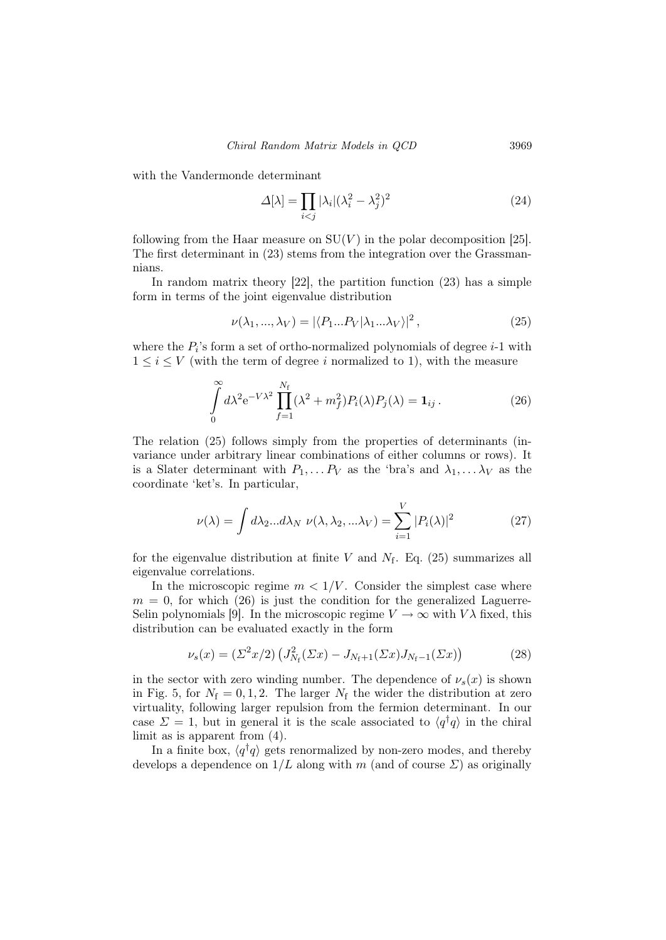with the Vandermonde determinant

$$
\Delta[\lambda] = \prod_{i < j} |\lambda_i| (\lambda_i^2 - \lambda_j^2)^2 \tag{24}
$$

following from the Haar measure on  $SU(V)$  in the polar decomposition [25]. The first determinant in (23) stems from the integration over the Grassmannians.

In random matrix theory  $[22]$ , the partition function  $(23)$  has a simple form in terms of the joint eigenvalue distribution

$$
\nu(\lambda_1, ..., \lambda_V) = |\langle P_1...P_V | \lambda_1 ... \lambda_V \rangle|^2, \qquad (25)
$$

where the  $P_i$ 's form a set of ortho-normalized polynomials of degree  $i-1$  with  $1 \leq i \leq V$  (with the term of degree i normalized to 1), with the measure

$$
\int_{0}^{\infty} d\lambda^{2} e^{-V\lambda^{2}} \prod_{f=1}^{N_{f}} (\lambda^{2} + m_{f}^{2}) P_{i}(\lambda) P_{j}(\lambda) = \mathbf{1}_{ij}.
$$
 (26)

The relation (25) follows simply from the properties of determinants (invariance under arbitrary linear combinations of either columns or rows). It is a Slater determinant with  $P_1, \ldots P_V$  as the 'bra's and  $\lambda_1, \ldots \lambda_V$  as the coordinate 'ket's. In particular,

$$
\nu(\lambda) = \int d\lambda_2 \dots d\lambda_N \ \nu(\lambda, \lambda_2, \dots \lambda_V) = \sum_{i=1}^V |P_i(\lambda)|^2 \tag{27}
$$

for the eigenvalue distribution at finite V and  $N_f$ . Eq. (25) summarizes all eigenvalue correlations.

In the microscopic regime  $m < 1/V$ . Consider the simplest case where  $m = 0$ , for which (26) is just the condition for the generalized Laguerre-Selin polynomials [9]. In the microscopic regime  $V \to \infty$  with  $V\lambda$  fixed, this distribution can be evaluated exactly in the form

$$
\nu_s(x) = (\Sigma^2 x/2) \left( J_{N_f}^2(\Sigma x) - J_{N_f+1}(\Sigma x) J_{N_f-1}(\Sigma x) \right) \tag{28}
$$

in the sector with zero winding number. The dependence of  $\nu_s(x)$  is shown in Fig. 5, for  $N_f = 0, 1, 2$ . The larger  $N_f$  the wider the distribution at zero virtuality, following larger repulsion from the fermion determinant. In our case  $\Sigma = 1$ , but in general it is the scale associated to  $\langle q^{\dagger}q \rangle$  in the chiral limit as is apparent from (4).

In a finite box,  $\langle q^{\dagger}q \rangle$  gets renormalized by non-zero modes, and thereby develops a dependence on  $1/L$  along with m (and of course  $\Sigma$ ) as originally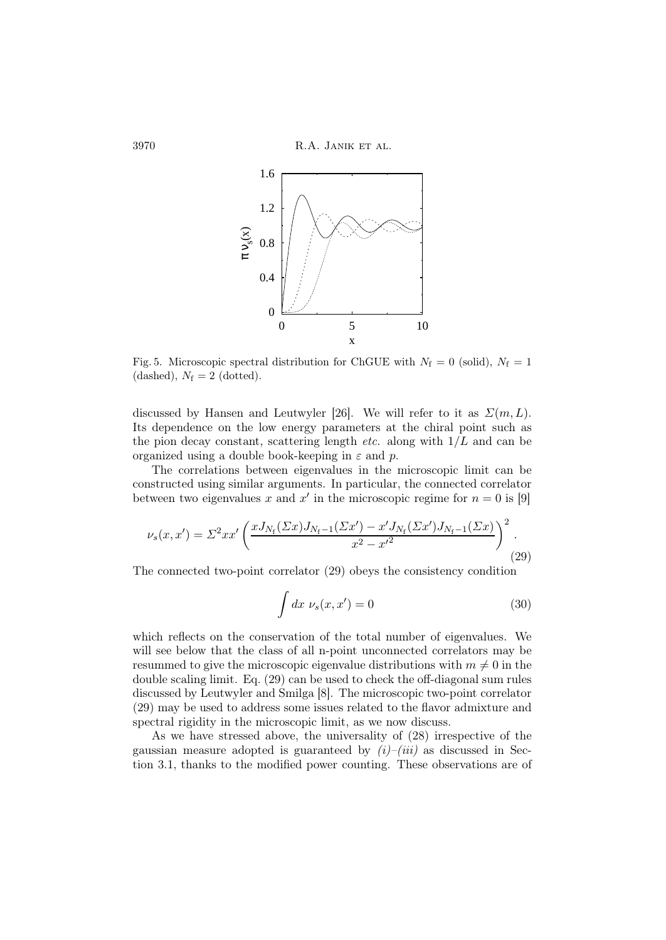3970 R.A. JANIK ET AL.



Fig. 5. Microscopic spectral distribution for ChGUE with  $N_f = 0$  (solid),  $N_f = 1$ (dashed),  $N_f = 2$  (dotted).

discussed by Hansen and Leutwyler [26]. We will refer to it as  $\Sigma(m, L)$ . Its dependence on the low energy parameters at the chiral point such as the pion decay constant, scattering length *etc.* along with  $1/L$  and can be organized using a double book-keeping in  $\varepsilon$  and p.

The correlations between eigenvalues in the microscopic limit can be constructed using similar arguments. In particular, the connected correlator between two eigenvalues x and x' in the microscopic regime for  $n = 0$  is [9]

$$
\nu_s(x, x') = \Sigma^2 x x' \left( \frac{x J_{N_{\rm f}}(\Sigma x) J_{N_{\rm f}-1}(\Sigma x') - x' J_{N_{\rm f}}(\Sigma x') J_{N_{\rm f}-1}(\Sigma x)}{x^2 - x'^2} \right)^2.
$$
\n(29)

The connected two-point correlator (29) obeys the consistency condition

$$
\int dx \, \nu_s(x, x') = 0 \tag{30}
$$

which reflects on the conservation of the total number of eigenvalues. We will see below that the class of all n-point unconnected correlators may be resummed to give the microscopic eigenvalue distributions with  $m \neq 0$  in the double scaling limit. Eq. (29) can be used to check the off-diagonal sum rules discussed by Leutwyler and Smilga [8]. The microscopic two-point correlator (29) may be used to address some issues related to the flavor admixture and spectral rigidity in the microscopic limit, as we now discuss.

As we have stressed above, the universality of (28) irrespective of the gaussian measure adopted is guaranteed by  $(i)$ – $(iii)$  as discussed in Section 3.1, thanks to the modified power counting. These observations are of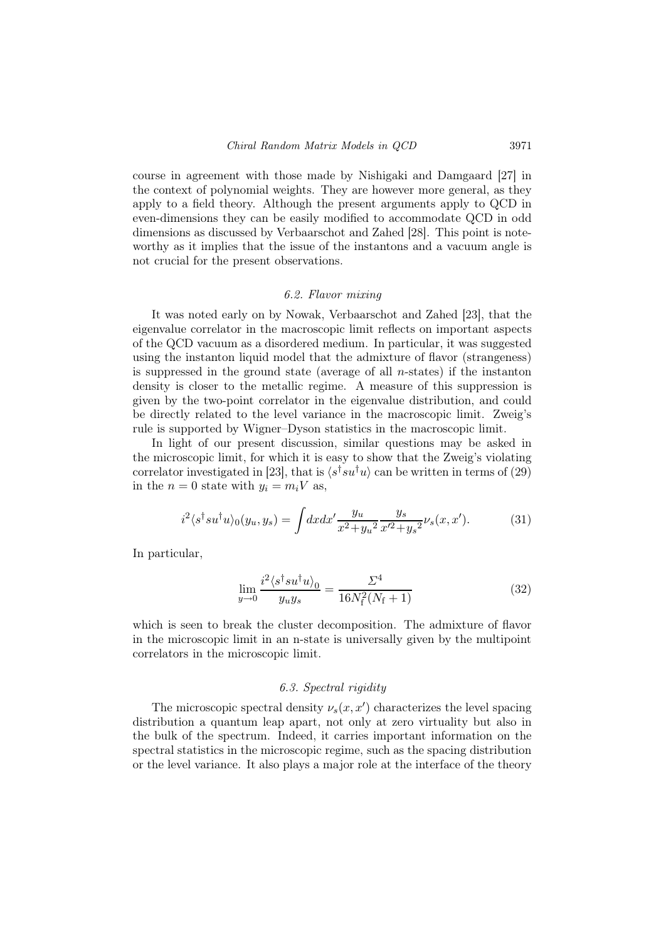course in agreement with those made by Nishigaki and Damgaard [27] in the context of polynomial weights. They are however more general, as they apply to a field theory. Although the present arguments apply to QCD in even-dimensions they can be easily modified to accommodate QCD in odd dimensions as discussed by Verbaarschot and Zahed [28]. This point is noteworthy as it implies that the issue of the instantons and a vacuum angle is not crucial for the present observations.

#### 6.2. Flavor mixing

It was noted early on by Nowak, Verbaarschot and Zahed [23], that the eigenvalue correlator in the macroscopic limit reflects on important aspects of the QCD vacuum as a disordered medium. In particular, it was suggested using the instanton liquid model that the admixture of flavor (strangeness) is suppressed in the ground state (average of all  $n$ -states) if the instanton density is closer to the metallic regime. A measure of this suppression is given by the two-point correlator in the eigenvalue distribution, and could be directly related to the level variance in the macroscopic limit. Zweig's rule is supported by Wigner–Dyson statistics in the macroscopic limit.

In light of our present discussion, similar questions may be asked in the microscopic limit, for which it is easy to show that the Zweig's violating correlator investigated in [23], that is  $\langle s^{\dagger} s u^{\dagger} u \rangle$  can be written in terms of (29) in the  $n = 0$  state with  $y_i = m_i V$  as,

$$
i^2 \langle s^\dagger s u^\dagger u \rangle_0(y_u, y_s) = \int dx dx' \frac{y_u}{x^2 + y_u^2} \frac{y_s}{x'^2 + y_s^2} \nu_s(x, x'). \tag{31}
$$

In particular,

$$
\lim_{y \to 0} \frac{i^2 \langle s^\dagger s u^\dagger u \rangle_0}{y_u y_s} = \frac{\Sigma^4}{16N_\text{f}^2 (N_\text{f} + 1)}\tag{32}
$$

which is seen to break the cluster decomposition. The admixture of flavor in the microscopic limit in an n-state is universally given by the multipoint correlators in the microscopic limit.

## 6.3. Spectral rigidity

The microscopic spectral density  $\nu_s(x, x')$  characterizes the level spacing distribution a quantum leap apart, not only at zero virtuality but also in the bulk of the spectrum. Indeed, it carries important information on the spectral statistics in the microscopic regime, such as the spacing distribution or the level variance. It also plays a major role at the interface of the theory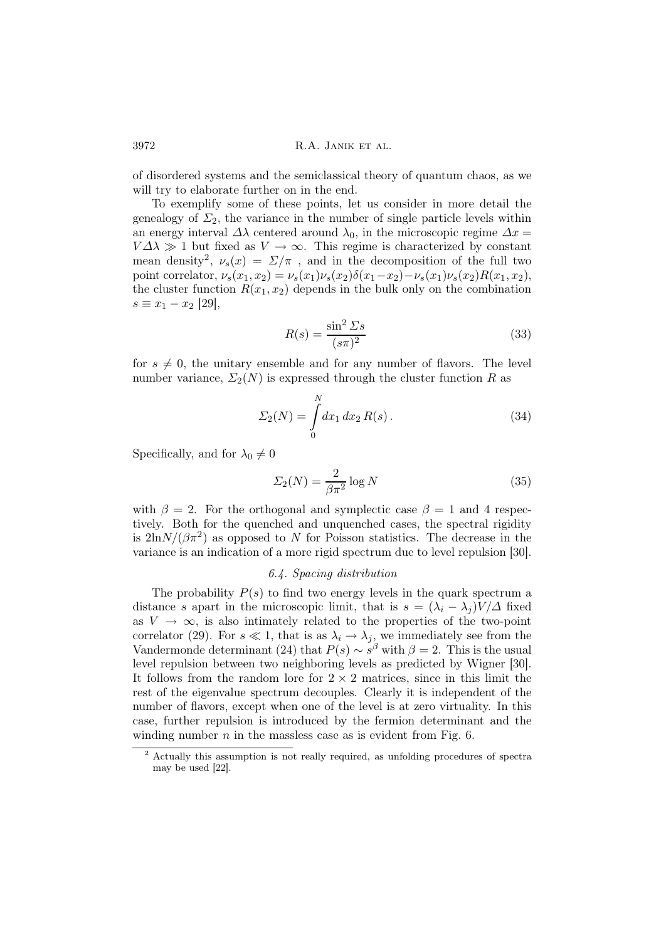of disordered systems and the semiclassical theory of quantum chaos, as we will try to elaborate further on in the end.

To exemplify some of these points, let us consider in more detail the genealogy of  $\Sigma_2$ , the variance in the number of single particle levels within an energy interval  $\Delta\lambda$  centered around  $\lambda_0$ , in the microscopic regime  $\Delta x =$  $V\Delta\lambda \gg 1$  but fixed as  $V \to \infty$ . This regime is characterized by constant mean density<sup>2</sup>,  $\nu_s(x) = \Sigma/\pi$ , and in the decomposition of the full two point correlator,  $\nu_s(x_1, x_2) = \nu_s(x_1)\nu_s(x_2)\delta(x_1-x_2) - \nu_s(x_1)\nu_s(x_2)R(x_1, x_2),$ the cluster function  $R(x_1, x_2)$  depends in the bulk only on the combination  $s \equiv x_1 - x_2$  [29],

$$
R(s) = \frac{\sin^2 \Sigma s}{(s\pi)^2} \tag{33}
$$

for  $s \neq 0$ , the unitary ensemble and for any number of flavors. The level number variance,  $\Sigma_2(N)$  is expressed through the cluster function R as

$$
\Sigma_2(N) = \int_0^N dx_1 dx_2 R(s).
$$
 (34)

Specifically, and for  $\lambda_0 \neq 0$ 

$$
\Sigma_2(N) = \frac{2}{\beta \pi^2} \log N \tag{35}
$$

with  $\beta = 2$ . For the orthogonal and symplectic case  $\beta = 1$  and 4 respectively. Both for the quenched and unquenched cases, the spectral rigidity is  $2\ln N/(\beta \pi^2)$  as opposed to N for Poisson statistics. The decrease in the variance is an indication of a more rigid spectrum due to level repulsion [30].

#### 6.4. Spacing distribution

The probability  $P(s)$  to find two energy levels in the quark spectrum a distance s apart in the microscopic limit, that is  $s = (\lambda_i - \lambda_j)V/\Delta$  fixed as  $V \rightarrow \infty$ , is also intimately related to the properties of the two-point correlator (29). For  $s \ll 1$ , that is as  $\lambda_i \to \lambda_j$ , we immediately see from the Vandermonde determinant (24) that  $P(s) \sim s^{\beta}$  with  $\beta = 2$ . This is the usual level repulsion between two neighboring levels as predicted by Wigner [30]. It follows from the random lore for  $2 \times 2$  matrices, since in this limit the rest of the eigenvalue spectrum decouples. Clearly it is independent of the number of flavors, except when one of the level is at zero virtuality. In this case, further repulsion is introduced by the fermion determinant and the winding number  $n$  in the massless case as is evident from Fig. 6.

<sup>2</sup> Actually this assumption is not really required, as unfolding procedures of spectra may be used [22].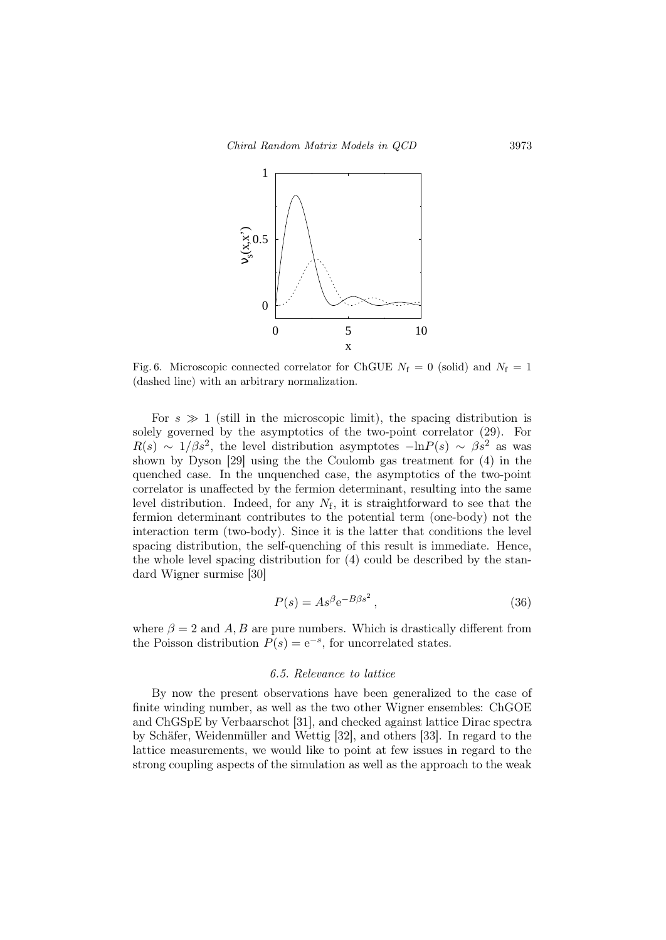

Fig. 6. Microscopic connected correlator for ChGUE  $N_f = 0$  (solid) and  $N_f = 1$ (dashed line) with an arbitrary normalization.

For  $s \gg 1$  (still in the microscopic limit), the spacing distribution is solely governed by the asymptotics of the two-point correlator (29). For  $R(s) \sim 1/\beta s^2$ , the level distribution asymptotes  $-\ln P(s) \sim \beta s^2$  as was shown by Dyson [29] using the the Coulomb gas treatment for (4) in the quenched case. In the unquenched case, the asymptotics of the two-point correlator is unaffected by the fermion determinant, resulting into the same level distribution. Indeed, for any  $N_f$ , it is straightforward to see that the fermion determinant contributes to the potential term (one-body) not the interaction term (two-body). Since it is the latter that conditions the level spacing distribution, the self-quenching of this result is immediate. Hence, the whole level spacing distribution for (4) could be described by the standard Wigner surmise [30]

$$
P(s) = As^{\beta}e^{-B\beta s^2},\tag{36}
$$

where  $\beta = 2$  and A, B are pure numbers. Which is drastically different from the Poisson distribution  $P(s) = e^{-s}$ , for uncorrelated states.

### 6.5. Relevance to lattice

By now the present observations have been generalized to the case of finite winding number, as well as the two other Wigner ensembles: ChGOE and ChGSpE by Verbaarschot [31], and checked against lattice Dirac spectra by Schäfer, Weidenmüller and Wettig [32], and others [33]. In regard to the lattice measurements, we would like to point at few issues in regard to the strong coupling aspects of the simulation as well as the approach to the weak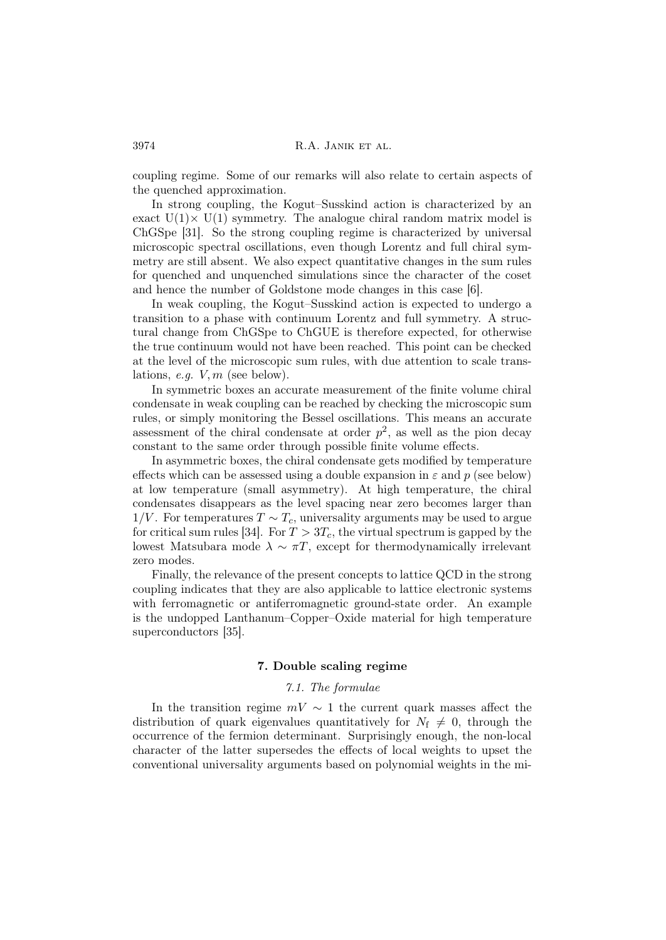coupling regime. Some of our remarks will also relate to certain aspects of the quenched approximation.

In strong coupling, the Kogut–Susskind action is characterized by an exact  $U(1) \times U(1)$  symmetry. The analogue chiral random matrix model is ChGSpe [31]. So the strong coupling regime is characterized by universal microscopic spectral oscillations, even though Lorentz and full chiral symmetry are still absent. We also expect quantitative changes in the sum rules for quenched and unquenched simulations since the character of the coset and hence the number of Goldstone mode changes in this case [6].

In weak coupling, the Kogut–Susskind action is expected to undergo a transition to a phase with continuum Lorentz and full symmetry. A structural change from ChGSpe to ChGUE is therefore expected, for otherwise the true continuum would not have been reached. This point can be checked at the level of the microscopic sum rules, with due attention to scale translations, e.g.  $V, m$  (see below).

In symmetric boxes an accurate measurement of the finite volume chiral condensate in weak coupling can be reached by checking the microscopic sum rules, or simply monitoring the Bessel oscillations. This means an accurate assessment of the chiral condensate at order  $p^2$ , as well as the pion decay constant to the same order through possible finite volume effects.

In asymmetric boxes, the chiral condensate gets modified by temperature effects which can be assessed using a double expansion in  $\varepsilon$  and p (see below) at low temperature (small asymmetry). At high temperature, the chiral condensates disappears as the level spacing near zero becomes larger than  $1/V$ . For temperatures  $T \sim T_c$ , universality arguments may be used to argue for critical sum rules [34]. For  $T > 3T_c$ , the virtual spectrum is gapped by the lowest Matsubara mode  $\lambda \sim \pi T$ , except for thermodynamically irrelevant zero modes.

Finally, the relevance of the present concepts to lattice QCD in the strong coupling indicates that they are also applicable to lattice electronic systems with ferromagnetic or antiferromagnetic ground-state order. An example is the undopped Lanthanum–Copper–Oxide material for high temperature superconductors [35].

## 7. Double scaling regime

## 7.1. The formulae

In the transition regime  $mV \sim 1$  the current quark masses affect the distribution of quark eigenvalues quantitatively for  $N_f \neq 0$ , through the occurrence of the fermion determinant. Surprisingly enough, the non-local character of the latter supersedes the effects of local weights to upset the conventional universality arguments based on polynomial weights in the mi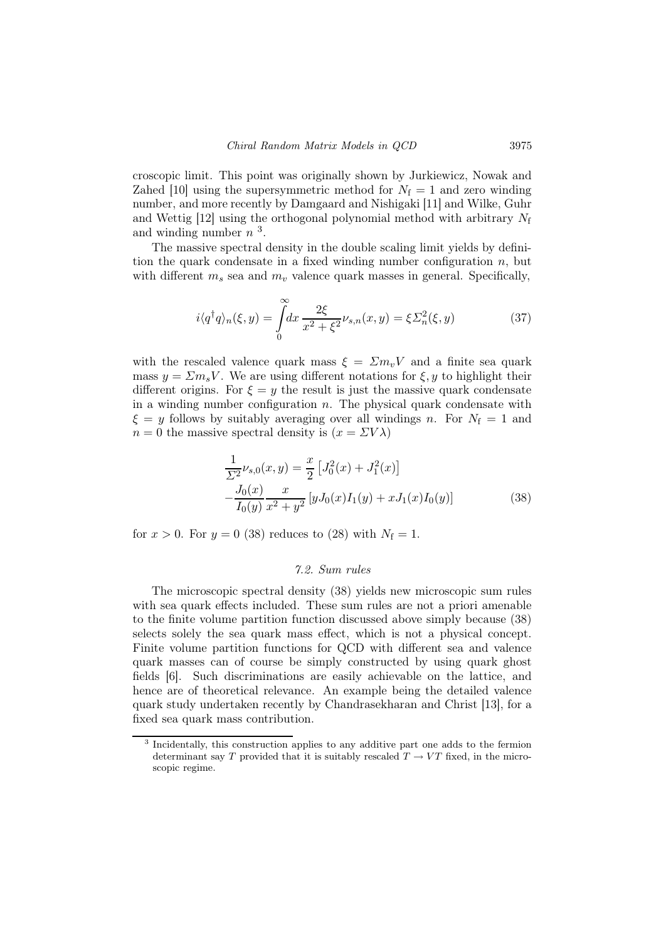croscopic limit. This point was originally shown by Jurkiewicz, Nowak and Zahed [10] using the supersymmetric method for  $N_f = 1$  and zero winding number, and more recently by Damgaard and Nishigaki [11] and Wilke, Guhr and Wettig  $[12]$  using the orthogonal polynomial method with arbitrary  $N_f$ and winding number  $n^3$ .

The massive spectral density in the double scaling limit yields by definition the quark condensate in a fixed winding number configuration  $n$ , but with different  $m_s$  sea and  $m_v$  valence quark masses in general. Specifically,

$$
i\langle q^\dagger q \rangle_n(\xi, y) = \int_0^\infty dx \frac{2\xi}{x^2 + \xi^2} \nu_{s,n}(x, y) = \xi \Sigma_n^2(\xi, y) \tag{37}
$$

with the rescaled valence quark mass  $\xi = \Sigma m_v V$  and a finite sea quark mass  $y = \sum m_s V$ . We are using different notations for  $\xi, y$  to highlight their different origins. For  $\xi = y$  the result is just the massive quark condensate in a winding number configuration  $n$ . The physical quark condensate with  $\xi = y$  follows by suitably averaging over all windings n. For  $N_f = 1$  and  $n = 0$  the massive spectral density is  $(x = \Sigma V \lambda)$ 

$$
\frac{1}{\Sigma^2} \nu_{s,0}(x,y) = \frac{x}{2} \left[ J_0^2(x) + J_1^2(x) \right]
$$

$$
-\frac{J_0(x)}{I_0(y)} \frac{x}{x^2 + y^2} \left[ yJ_0(x)I_1(y) + xJ_1(x)I_0(y) \right]
$$
(38)

for  $x > 0$ . For  $y = 0$  (38) reduces to (28) with  $N_f = 1$ .

### 7.2. Sum rules

The microscopic spectral density (38) yields new microscopic sum rules with sea quark effects included. These sum rules are not a priori amenable to the finite volume partition function discussed above simply because (38) selects solely the sea quark mass effect, which is not a physical concept. Finite volume partition functions for QCD with different sea and valence quark masses can of course be simply constructed by using quark ghost fields [6]. Such discriminations are easily achievable on the lattice, and hence are of theoretical relevance. An example being the detailed valence quark study undertaken recently by Chandrasekharan and Christ [13], for a fixed sea quark mass contribution.

<sup>&</sup>lt;sup>3</sup> Incidentally, this construction applies to any additive part one adds to the fermion determinant say T provided that it is suitably rescaled  $T \rightarrow VT$  fixed, in the microscopic regime.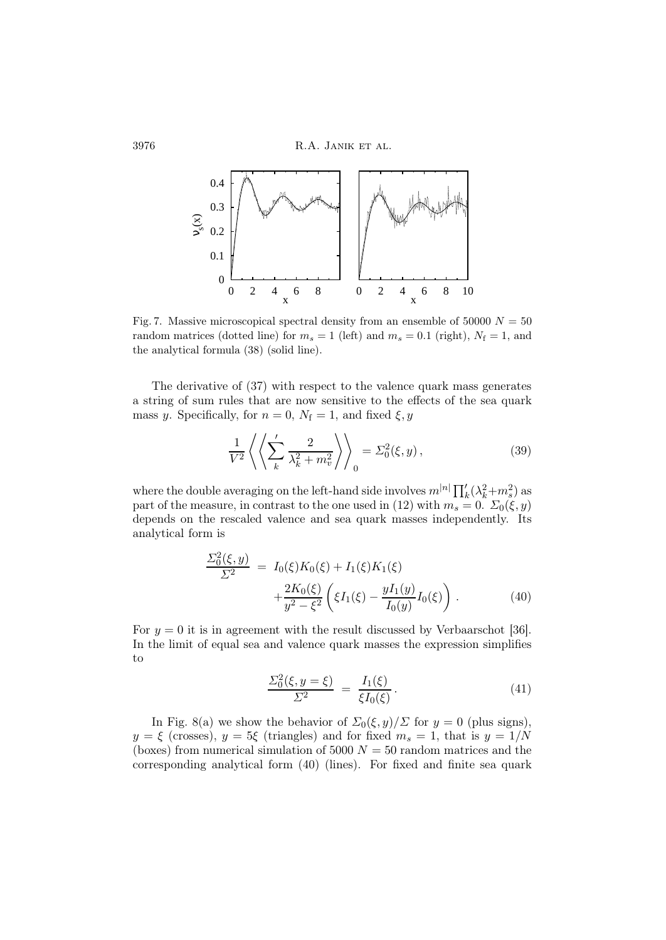

Fig. 7. Massive microscopical spectral density from an ensemble of 50000  $N = 50$ random matrices (dotted line) for  $m_s = 1$  (left) and  $m_s = 0.1$  (right),  $N_f = 1$ , and the analytical formula (38) (solid line).

The derivative of (37) with respect to the valence quark mass generates a string of sum rules that are now sensitive to the effects of the sea quark mass y. Specifically, for  $n = 0$ ,  $N_f = 1$ , and fixed  $\xi, y$ 

$$
\frac{1}{V^2} \left\langle \left\langle \sum_{k}^{'} \frac{2}{\lambda_k^2 + m_v^2} \right\rangle \right\rangle_0 = \Sigma_0^2(\xi, y), \tag{39}
$$

where the double averaging on the left-hand side involves  $m^{|n|} \prod_k' (\lambda_k^2 + m_s^2)$  as part of the measure, in contrast to the one used in (12) with  $m_s = 0$ .  $\Sigma_0(\xi, y)$ depends on the rescaled valence and sea quark masses independently. Its analytical form is

$$
\frac{\Sigma_0^2(\xi, y)}{\Sigma^2} = I_0(\xi)K_0(\xi) + I_1(\xi)K_1(\xi) \n+ \frac{2K_0(\xi)}{y^2 - \xi^2} \left( \xi I_1(\xi) - \frac{yI_1(y)}{I_0(y)} I_0(\xi) \right).
$$
\n(40)

For  $y = 0$  it is in agreement with the result discussed by Verbaarschot [36]. In the limit of equal sea and valence quark masses the expression simplifies to

$$
\frac{\Sigma_0^2(\xi, y = \xi)}{\Sigma^2} = \frac{I_1(\xi)}{\xi I_0(\xi)}.
$$
\n(41)

In Fig. 8(a) we show the behavior of  $\Sigma_0(\xi, y)/\Sigma$  for  $y = 0$  (plus signs),  $y = \xi$  (crosses),  $y = 5\xi$  (triangles) and for fixed  $m_s = 1$ , that is  $y = 1/N$ (boxes) from numerical simulation of 5000  $N = 50$  random matrices and the corresponding analytical form (40) (lines). For fixed and finite sea quark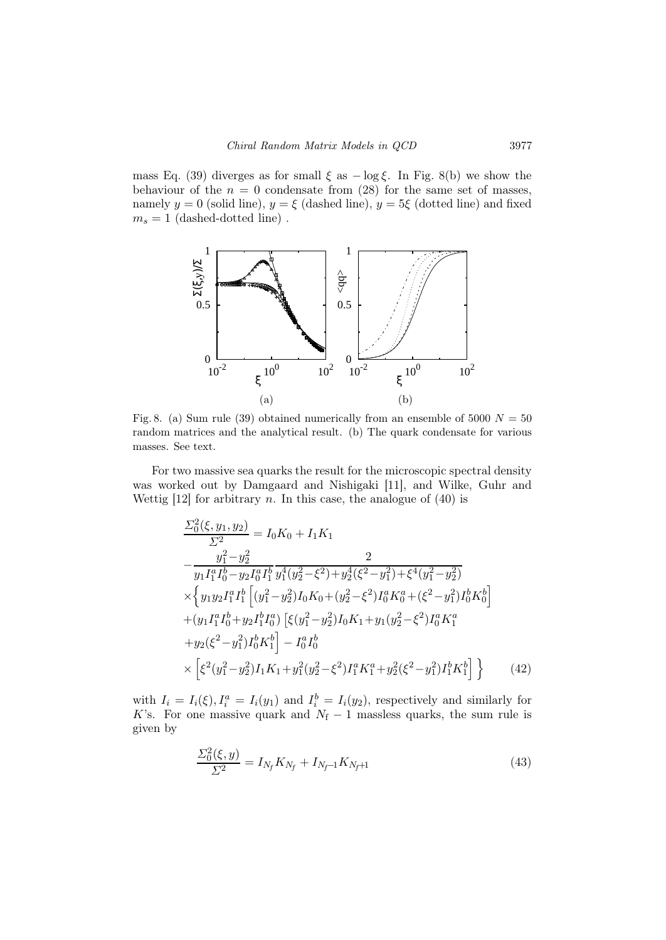mass Eq. (39) diverges as for small  $\xi$  as  $-\log \xi$ . In Fig. 8(b) we show the behaviour of the  $n = 0$  condensate from (28) for the same set of masses, namely  $y = 0$  (solid line),  $y = \xi$  (dashed line),  $y = 5\xi$  (dotted line) and fixed  $m_s = 1$  (dashed-dotted line).



Fig. 8. (a) Sum rule (39) obtained numerically from an ensemble of 5000  $N = 50$ random matrices and the analytical result. (b) The quark condensate for various masses. See text.

For two massive sea quarks the result for the microscopic spectral density was worked out by Damgaard and Nishigaki [11], and Wilke, Guhr and Wettig  $[12]$  for arbitrary n. In this case, the analogue of  $(40)$  is

$$
\frac{\Sigma_0^2(\xi, y_1, y_2)}{\Sigma^2} = I_0 K_0 + I_1 K_1
$$
\n
$$
-\frac{y_1^2 - y_2^2}{y_1 I_1^a I_0^b - y_2 I_0^a I_1^b} \frac{2}{y_1^4 (y_2^2 - \xi^2) + y_2^4 (\xi^2 - y_1^2) + \xi^4 (y_1^2 - y_2^2)}
$$
\n
$$
\times \left\{ y_1 y_2 I_1^a I_1^b \left[ (y_1^2 - y_2^2) I_0 K_0 + (y_2^2 - \xi^2) I_0^a K_0^a + (\xi^2 - y_1^2) I_0^b K_0^b \right] + (y_1 I_1^a I_0^b + y_2 I_1^b I_0^a) \left[ \xi (y_1^2 - y_2^2) I_0 K_1 + y_1 (y_2^2 - \xi^2) I_0^a K_1^a \right. \n+ y_2 (\xi^2 - y_1^2) I_0^b K_1^b \right] - I_0^a I_0^b
$$
\n
$$
\times \left[ \xi^2 (y_1^2 - y_2^2) I_1 K_1 + y_1^2 (y_2^2 - \xi^2) I_1^a K_1^a + y_2^2 (\xi^2 - y_1^2) I_1^b K_1^b \right] \right\} \qquad (42)
$$

with  $I_i = I_i(\xi), I_i^a = I_i(y_1)$  and  $I_i^b = I_i(y_2)$ , respectively and similarly for K's. For one massive quark and  $N_f - 1$  massless quarks, the sum rule is given by

$$
\frac{\Sigma_0^2(\xi, y)}{\Sigma^2} = I_{N_f} K_{N_f} + I_{N_f - 1} K_{N_f + 1}
$$
\n(43)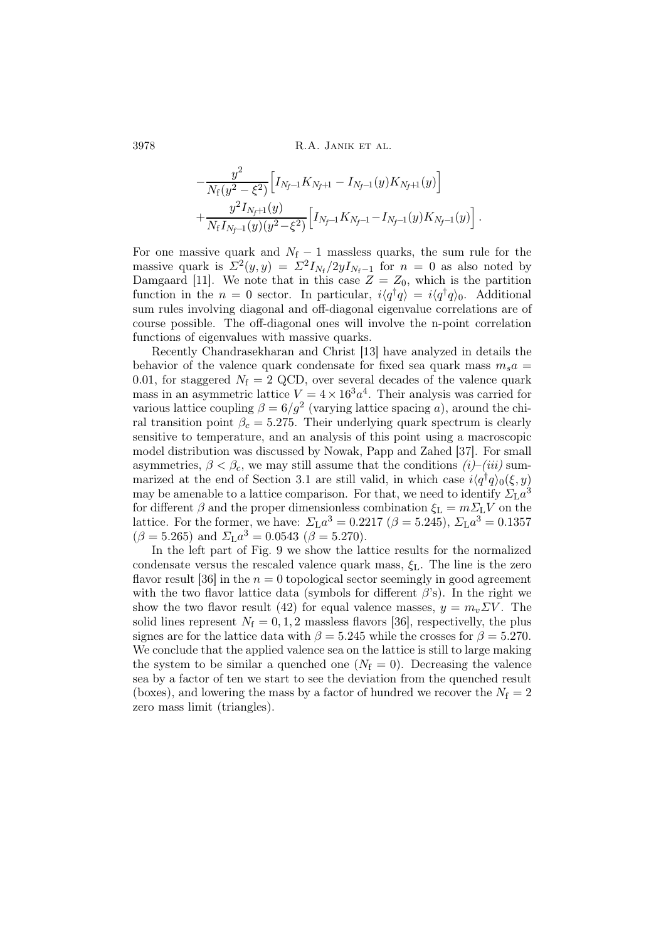$$
-\frac{y^2}{N_f(y^2-\xi^2)} \Big[ I_{N_f-1} K_{N_f+1} - I_{N_f-1}(y) K_{N_f+1}(y) \Big] + \frac{y^2 I_{N_f+1}(y)}{N_f I_{N_f-1}(y)(y^2-\xi^2)} \Big[ I_{N_f-1} K_{N_f-1} - I_{N_f-1}(y) K_{N_f-1}(y) \Big].
$$

For one massive quark and  $N_f - 1$  massless quarks, the sum rule for the massive quark is  $\Sigma^2(y, y) = \Sigma^2 I_{N_f}/2yI_{N_f-1}$  for  $n = 0$  as also noted by Damgaard [11]. We note that in this case  $Z = Z_0$ , which is the partition function in the  $n = 0$  sector. In particular,  $i\langle q^{\dagger}q \rangle = i\langle q^{\dagger}q \rangle_0$ . Additional sum rules involving diagonal and off-diagonal eigenvalue correlations are of course possible. The off-diagonal ones will involve the n-point correlation functions of eigenvalues with massive quarks.

Recently Chandrasekharan and Christ [13] have analyzed in details the behavior of the valence quark condensate for fixed sea quark mass  $m_s a =$ 0.01, for staggered  $N_f = 2$  QCD, over several decades of the valence quark mass in an asymmetric lattice  $V = 4 \times 16^3 a^4$ . Their analysis was carried for various lattice coupling  $\beta = 6/g^2$  (varying lattice spacing a), around the chiral transition point  $\beta_c = 5.275$ . Their underlying quark spectrum is clearly sensitive to temperature, and an analysis of this point using a macroscopic model distribution was discussed by Nowak, Papp and Zahed [37]. For small asymmetries,  $\beta < \beta_c$ , we may still assume that the conditions  $(i)$ – $(iii)$  summarized at the end of Section 3.1 are still valid, in which case  $i\langle q^{\dagger}q\rangle_0(\xi, y)$ may be amenable to a lattice comparison. For that, we need to identify  $\Sigma_{\rm L} a^3$ for different  $\beta$  and the proper dimensionless combination  $\xi_{\text{L}} = m \Sigma_{\text{L}} V$  on the lattice. For the former, we have:  $\Sigma_{\rm L} a^3 = 0.2217$  ( $\beta = 5.245$ ),  $\Sigma_{\rm L} a^3 = 0.1357$  $(\beta = 5.265)$  and  $\Sigma_{\rm L} a^3 = 0.0543$  ( $\beta = 5.270$ ).

In the left part of Fig. 9 we show the lattice results for the normalized condensate versus the rescaled valence quark mass,  $\xi_L$ . The line is the zero flavor result [36] in the  $n = 0$  topological sector seemingly in good agreement with the two flavor lattice data (symbols for different  $\beta$ 's). In the right we show the two flavor result (42) for equal valence masses,  $y = m_v \Sigma V$ . The solid lines represent  $N_f = 0, 1, 2$  massless flavors [36], respectivelly, the plus signes are for the lattice data with  $\beta = 5.245$  while the crosses for  $\beta = 5.270$ . We conclude that the applied valence sea on the lattice is still to large making the system to be similar a quenched one  $(N_f = 0)$ . Decreasing the valence sea by a factor of ten we start to see the deviation from the quenched result (boxes), and lowering the mass by a factor of hundred we recover the  $N_f = 2$ zero mass limit (triangles).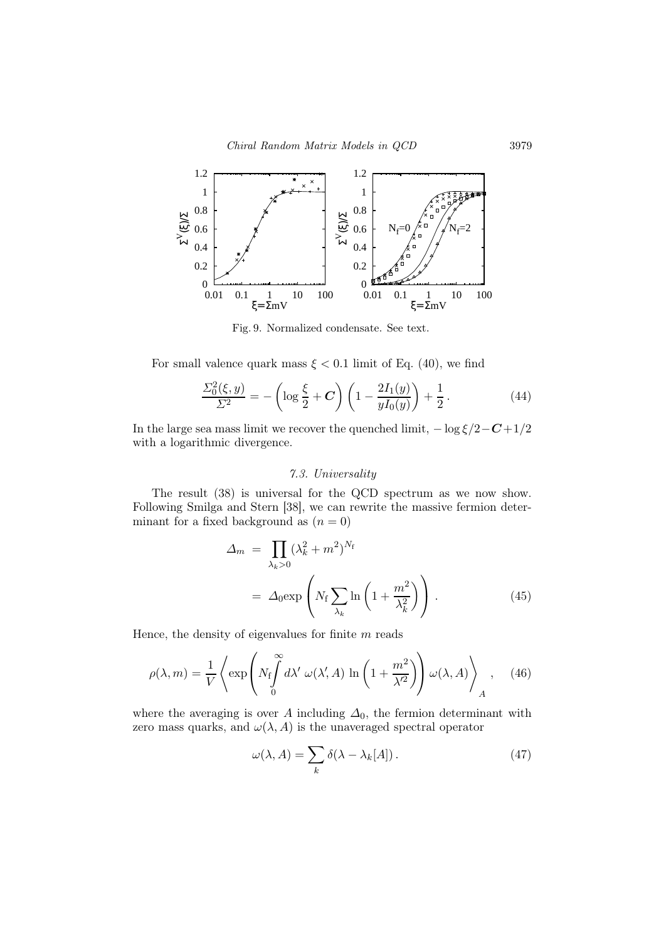

Fig. 9. Normalized condensate. See text.

For small valence quark mass  $\xi < 0.1$  limit of Eq. (40), we find

$$
\frac{\Sigma_0^2(\xi, y)}{\Sigma^2} = -\left(\log \frac{\xi}{2} + C\right) \left(1 - \frac{2I_1(y)}{yI_0(y)}\right) + \frac{1}{2}.
$$
\n(44)

In the large sea mass limit we recover the quenched limit,  $-\log \frac{\xi}{2}-C+1/2$ with a logarithmic divergence.

# 7.3. Universality

The result (38) is universal for the QCD spectrum as we now show. Following Smilga and Stern [38], we can rewrite the massive fermion determinant for a fixed background as  $(n = 0)$ 

$$
\Delta_m = \prod_{\lambda_k > 0} (\lambda_k^2 + m^2)^{N_f}
$$
  
=  $\Delta_0 \exp\left(N_f \sum_{\lambda_k} \ln\left(1 + \frac{m^2}{\lambda_k^2}\right)\right)$ . (45)

Hence, the density of eigenvalues for finite  $m$  reads

$$
\rho(\lambda, m) = \frac{1}{V} \left\langle \exp \left( N_f \int_0^{\infty} d\lambda' \, \omega(\lambda', A) \, \ln \left( 1 + \frac{m^2}{\lambda'^2} \right) \right) \omega(\lambda, A) \right\rangle_A, \quad (46)
$$

where the averaging is over A including  $\Delta_0$ , the fermion determinant with zero mass quarks, and  $\omega(\lambda, A)$  is the unaveraged spectral operator

$$
\omega(\lambda, A) = \sum_{k} \delta(\lambda - \lambda_k[A]). \tag{47}
$$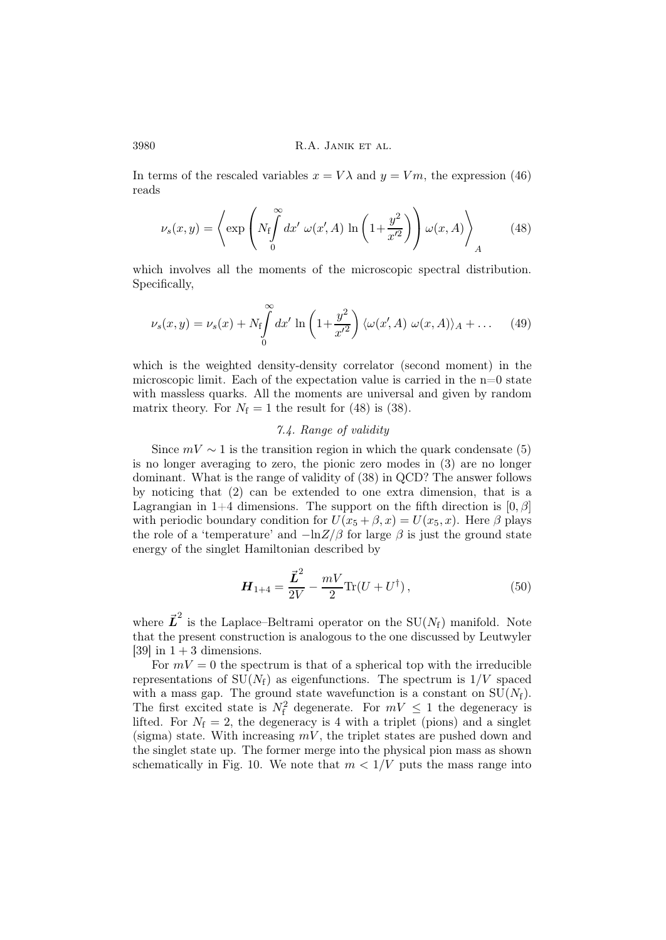In terms of the rescaled variables  $x = V\lambda$  and  $y = Vm$ , the expression (46) reads

$$
\nu_s(x,y) = \left\langle \exp\left(N_f \int_0^\infty dx' \ \omega(x',A) \ \ln\left(1 + \frac{y^2}{x'^2}\right)\right) \omega(x,A)\right\rangle_A \tag{48}
$$

which involves all the moments of the microscopic spectral distribution. Specifically,

$$
\nu_s(x,y) = \nu_s(x) + N_f \int_0^\infty dx' \ln\left(1 + \frac{y^2}{x'^2}\right) \langle \omega(x',A) \ \omega(x,A) \rangle_A + \dots \tag{49}
$$

which is the weighted density-density correlator (second moment) in the microscopic limit. Each of the expectation value is carried in the  $n=0$  state with massless quarks. All the moments are universal and given by random matrix theory. For  $N_f = 1$  the result for (48) is (38).

## 7.4. Range of validity

Since  $mV \sim 1$  is the transition region in which the quark condensate (5) is no longer averaging to zero, the pionic zero modes in (3) are no longer dominant. What is the range of validity of (38) in QCD? The answer follows by noticing that (2) can be extended to one extra dimension, that is a Lagrangian in 1+4 dimensions. The support on the fifth direction is  $[0, \beta]$ with periodic boundary condition for  $U(x_5 + \beta, x) = U(x_5, x)$ . Here  $\beta$  plays the role of a 'temperature' and  $-\ln Z/\beta$  for large  $\beta$  is just the ground state energy of the singlet Hamiltonian described by

$$
\boldsymbol{H}_{1+4} = \frac{\vec{L}^2}{2V} - \frac{mV}{2} \text{Tr}(U + U^{\dagger}), \qquad (50)
$$

where  $\vec{L}^2$  is the Laplace–Beltrami operator on the SU( $N_f$ ) manifold. Note that the present construction is analogous to the one discussed by Leutwyler [39] in  $1+3$  dimensions.

For  $mV = 0$  the spectrum is that of a spherical top with the irreducible representations of  $SU(N_f)$  as eigenfunctions. The spectrum is  $1/V$  spaced with a mass gap. The ground state wavefunction is a constant on  $SU(N_f)$ . The first excited state is  $N_f^2$  degenerate. For  $mV \le 1$  the degeneracy is lifted. For  $N_f = 2$ , the degeneracy is 4 with a triplet (pions) and a singlet (sigma) state. With increasing  $mV$ , the triplet states are pushed down and the singlet state up. The former merge into the physical pion mass as shown schematically in Fig. 10. We note that  $m < 1/V$  puts the mass range into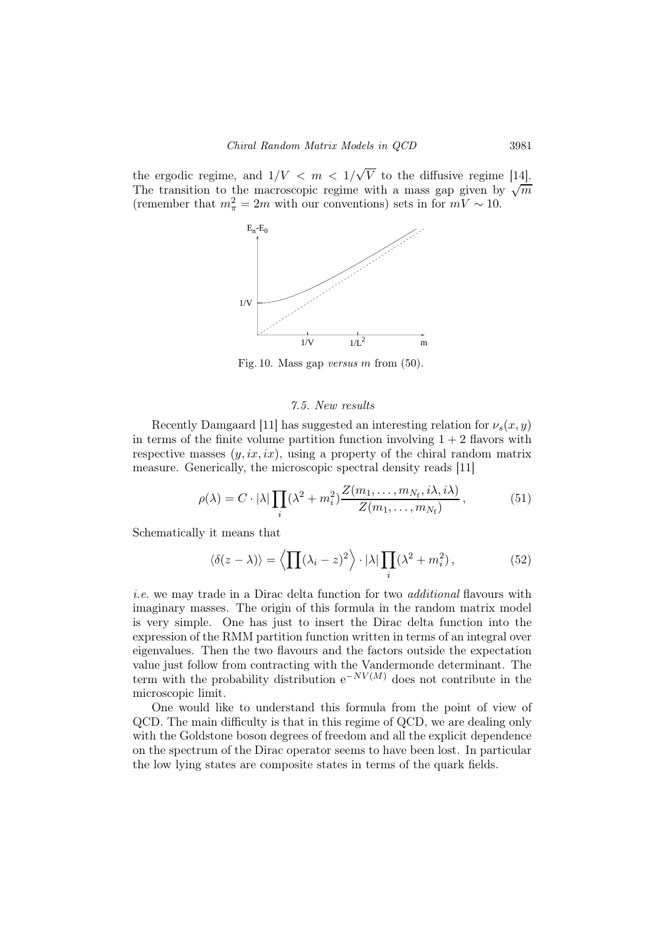the ergodic regime, and  $1/V < m < 1/\sqrt{V}$  to the diffusive regime [14]. The transition to the macroscopic regime with a mass gap given by  $\sqrt{\frac{1}{m}}$ (remember that  $m_{\pi}^2 = 2m$  with our conventions) sets in for  $mV \sim 10$ .



Fig. 10. Mass gap versus  $m$  from (50).

### 7.5. New results

Recently Damgaard [11] has suggested an interesting relation for  $\nu_s(x, y)$ in terms of the finite volume partition function involving  $1 + 2$  flavors with respective masses  $(y, ix, ix)$ , using a property of the chiral random matrix measure. Generically, the microscopic spectral density reads [11]

$$
\rho(\lambda) = C \cdot |\lambda| \prod_{i} (\lambda^2 + m_i^2) \frac{Z(m_1, \dots, m_{N_f}, i\lambda, i\lambda)}{Z(m_1, \dots, m_{N_f})}, \qquad (51)
$$

Schematically it means that

$$
\langle \delta(z-\lambda) \rangle = \left\langle \prod (\lambda_i - z)^2 \right\rangle \cdot |\lambda| \prod_i (\lambda^2 + m_i^2), \tag{52}
$$

i.e. we may trade in a Dirac delta function for two *additional* flavours with imaginary masses. The origin of this formula in the random matrix model is very simple. One has just to insert the Dirac delta function into the expression of the RMM partition function written in terms of an integral over eigenvalues. Then the two flavours and the factors outside the expectation value just follow from contracting with the Vandermonde determinant. The term with the probability distribution  $e^{-NV(M)}$  does not contribute in the microscopic limit.

One would like to understand this formula from the point of view of QCD. The main difficulty is that in this regime of QCD, we are dealing only with the Goldstone boson degrees of freedom and all the explicit dependence on the spectrum of the Dirac operator seems to have been lost. In particular the low lying states are composite states in terms of the quark fields.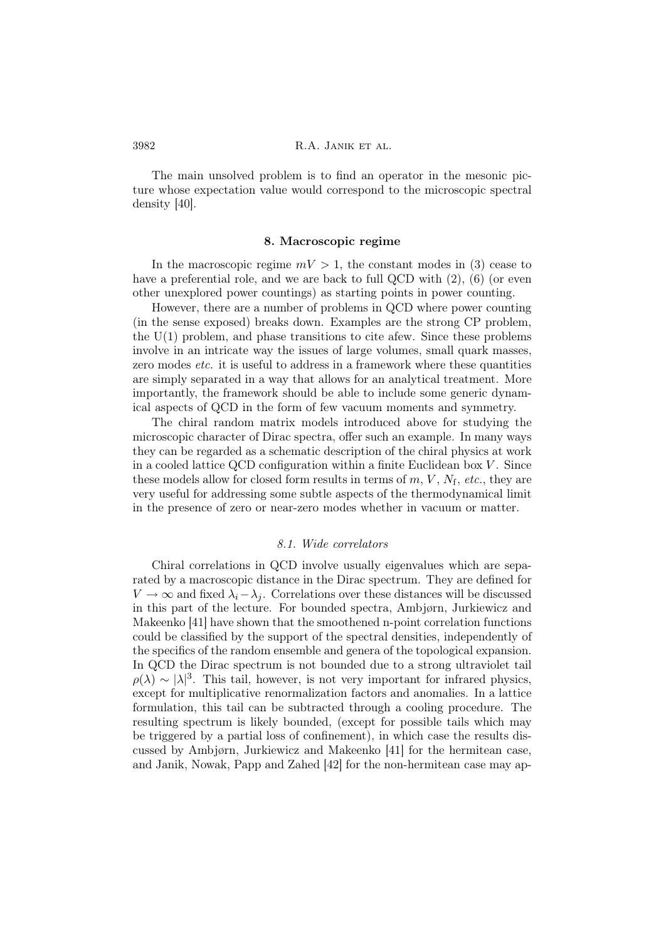The main unsolved problem is to find an operator in the mesonic picture whose expectation value would correspond to the microscopic spectral density [40].

### 8. Macroscopic regime

In the macroscopic regime  $mV > 1$ , the constant modes in (3) cease to have a preferential role, and we are back to full QCD with  $(2)$ ,  $(6)$  (or even other unexplored power countings) as starting points in power counting.

However, there are a number of problems in QCD where power counting (in the sense exposed) breaks down. Examples are the strong CP problem, the  $U(1)$  problem, and phase transitions to cite afew. Since these problems involve in an intricate way the issues of large volumes, small quark masses, zero modes *etc.* it is useful to address in a framework where these quantities are simply separated in a way that allows for an analytical treatment. More importantly, the framework should be able to include some generic dynamical aspects of QCD in the form of few vacuum moments and symmetry.

The chiral random matrix models introduced above for studying the microscopic character of Dirac spectra, offer such an example. In many ways they can be regarded as a schematic description of the chiral physics at work in a cooled lattice QCD configuration within a finite Euclidean box  $V$ . Since these models allow for closed form results in terms of  $m, V, N_f, etc.,$  they are very useful for addressing some subtle aspects of the thermodynamical limit in the presence of zero or near-zero modes whether in vacuum or matter.

#### 8.1. Wide correlators

Chiral correlations in QCD involve usually eigenvalues which are separated by a macroscopic distance in the Dirac spectrum. They are defined for  $V \to \infty$  and fixed  $\lambda_i - \lambda_j$ . Correlations over these distances will be discussed in this part of the lecture. For bounded spectra, Ambjørn, Jurkiewicz and Makeenko [41] have shown that the smoothened n-point correlation functions could be classified by the support of the spectral densities, independently of the specifics of the random ensemble and genera of the topological expansion. In QCD the Dirac spectrum is not bounded due to a strong ultraviolet tail  $\rho(\lambda) \sim |\lambda|^3$ . This tail, however, is not very important for infrared physics, except for multiplicative renormalization factors and anomalies. In a lattice formulation, this tail can be subtracted through a cooling procedure. The resulting spectrum is likely bounded, (except for possible tails which may be triggered by a partial loss of confinement), in which case the results discussed by Ambjørn, Jurkiewicz and Makeenko [41] for the hermitean case, and Janik, Nowak, Papp and Zahed [42] for the non-hermitean case may ap-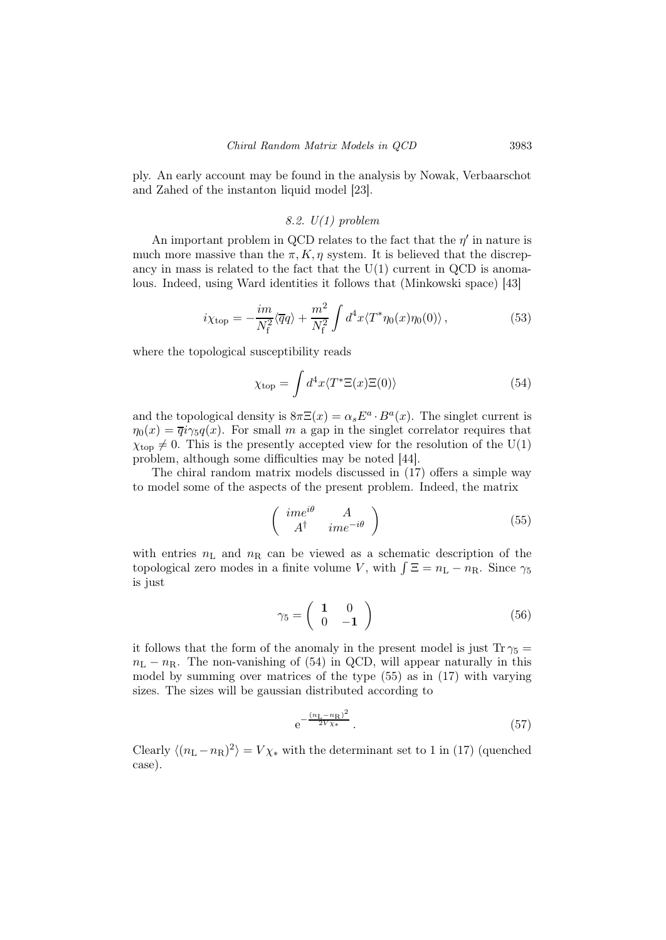ply. An early account may be found in the analysis by Nowak, Verbaarschot and Zahed of the instanton liquid model [23].

## 8.2.  $U(1)$  problem

An important problem in QCD relates to the fact that the  $\eta'$  in nature is much more massive than the  $\pi$ , K,  $\eta$  system. It is believed that the discrepancy in mass is related to the fact that the  $U(1)$  current in QCD is anomalous. Indeed, using Ward identities it follows that (Minkowski space) [43]

$$
i\chi_{\text{top}} = -\frac{im}{N_{\text{f}}^2} \langle \overline{q}q \rangle + \frac{m^2}{N_{\text{f}}^2} \int d^4x \langle T^* \eta_0(x) \eta_0(0) \rangle \,, \tag{53}
$$

where the topological susceptibility reads

$$
\chi_{\text{top}} = \int d^4x \langle T^* \Xi(x) \Xi(0) \rangle \tag{54}
$$

and the topological density is  $8\pi\Xi(x) = \alpha_s E^a \cdot B^a(x)$ . The singlet current is  $\eta_0(x) = \overline{q}i\gamma_5 q(x)$ . For small m a gap in the singlet correlator requires that  $\chi_{\text{top}} \neq 0$ . This is the presently accepted view for the resolution of the U(1) problem, although some difficulties may be noted [44].

The chiral random matrix models discussed in (17) offers a simple way to model some of the aspects of the present problem. Indeed, the matrix

$$
\left(\begin{array}{cc}\nime^{i\theta} & A \\
A^{\dagger} & ime^{-i\theta}\n\end{array}\right) (55)
$$

with entries  $n_{\text{L}}$  and  $n_{\text{R}}$  can be viewed as a schematic description of the topological zero modes in a finite volume V, with  $\int \Xi = n_{\rm L} - n_{\rm R}$ . Since  $\gamma_5$ is just

$$
\gamma_5 = \left(\begin{array}{cc} \mathbf{1} & 0\\ 0 & -\mathbf{1} \end{array}\right) \tag{56}
$$

it follows that the form of the anomaly in the present model is just  $Tr \gamma_5 =$  $n_{\rm L} - n_{\rm R}$ . The non-vanishing of (54) in QCD, will appear naturally in this model by summing over matrices of the type (55) as in (17) with varying sizes. The sizes will be gaussian distributed according to

$$
e^{-\frac{(n_L - n_R)^2}{2V_{\chi*}}}.
$$
\n(57)

Clearly  $\langle (n_{\rm L} - n_{\rm R})^2 \rangle = V \chi_*$  with the determinant set to 1 in (17) (quenched case).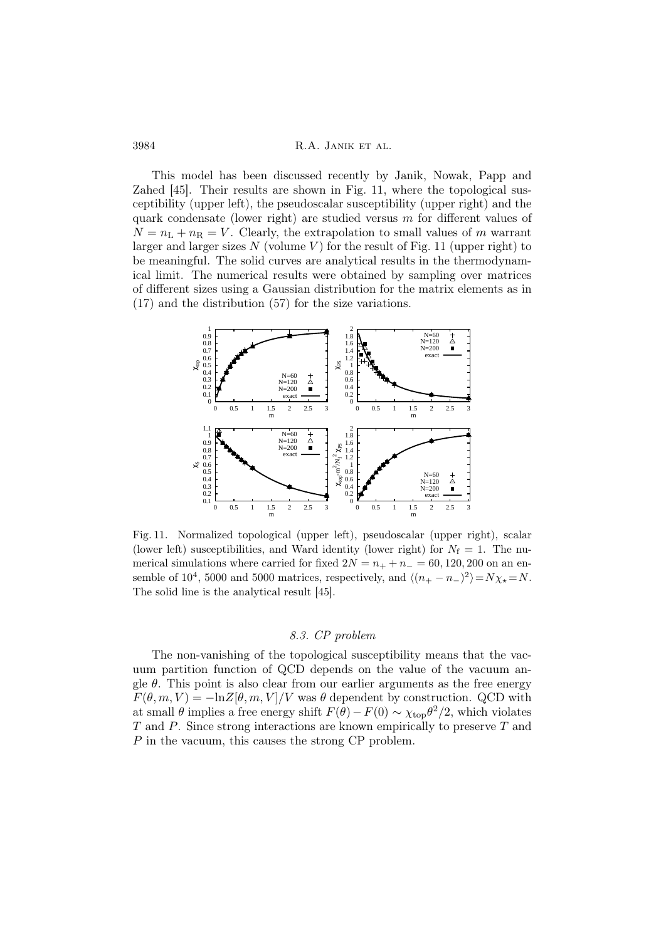This model has been discussed recently by Janik, Nowak, Papp and Zahed [45]. Their results are shown in Fig. 11, where the topological susceptibility (upper left), the pseudoscalar susceptibility (upper right) and the quark condensate (lower right) are studied versus  $m$  for different values of  $N = n<sub>L</sub> + n<sub>R</sub> = V$ . Clearly, the extrapolation to small values of m warrant larger and larger sizes N (volume V) for the result of Fig. 11 (upper right) to be meaningful. The solid curves are analytical results in the thermodynamical limit. The numerical results were obtained by sampling over matrices of different sizes using a Gaussian distribution for the matrix elements as in (17) and the distribution (57) for the size variations.



Fig. 11. Normalized topological (upper left), pseudoscalar (upper right), scalar (lower left) susceptibilities, and Ward identity (lower right) for  $N_f = 1$ . The numerical simulations where carried for fixed  $2N = n_{+} + n_{-} = 60, 120, 200$  on an ensemble of 10<sup>4</sup>, 5000 and 5000 matrices, respectively, and  $\langle (n_{+} - n_{-})^2 \rangle = N \chi_{\star} = N$ . The solid line is the analytical result [45].

# 8.3. CP problem

The non-vanishing of the topological susceptibility means that the vacuum partition function of QCD depends on the value of the vacuum angle  $\theta$ . This point is also clear from our earlier arguments as the free energy  $F(\theta, m, V) = -\ln Z[\theta, m, V]/V$  was  $\theta$  dependent by construction. QCD with at small  $\theta$  implies a free energy shift  $F(\theta) - F(0) \sim \chi_{\text{top}} \theta^2/2$ , which violates T and P. Since strong interactions are known empirically to preserve T and P in the vacuum, this causes the strong CP problem.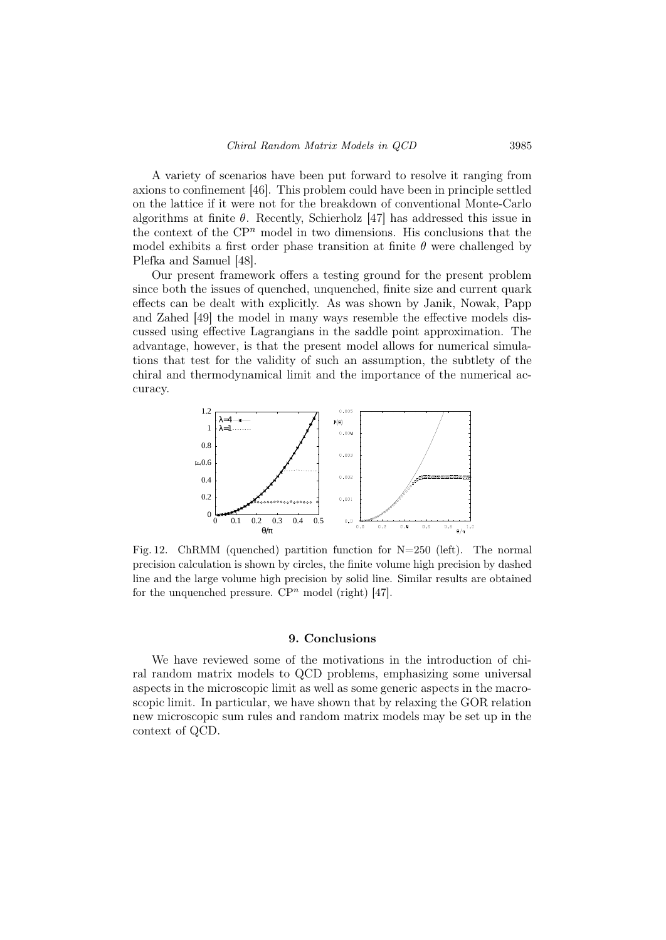A variety of scenarios have been put forward to resolve it ranging from axions to confinement [46]. This problem could have been in principle settled on the lattice if it were not for the breakdown of conventional Monte-Carlo algorithms at finite  $\theta$ . Recently, Schierholz [47] has addressed this issue in the context of the  $\mathbb{C}P^n$  model in two dimensions. His conclusions that the model exhibits a first order phase transition at finite  $\theta$  were challenged by Plefka and Samuel [48].

Our present framework offers a testing ground for the present problem since both the issues of quenched, unquenched, finite size and current quark effects can be dealt with explicitly. As was shown by Janik, Nowak, Papp and Zahed [49] the model in many ways resemble the effective models discussed using effective Lagrangians in the saddle point approximation. The advantage, however, is that the present model allows for numerical simulations that test for the validity of such an assumption, the subtlety of the chiral and thermodynamical limit and the importance of the numerical accuracy.



Fig. 12. ChRMM (quenched) partition function for  $N=250$  (left). The normal precision calculation is shown by circles, the finite volume high precision by dashed line and the large volume high precision by solid line. Similar results are obtained for the unquenched pressure.  $\mathbb{C}P^n$  model (right) [47].

#### 9. Conclusions

We have reviewed some of the motivations in the introduction of chiral random matrix models to QCD problems, emphasizing some universal aspects in the microscopic limit as well as some generic aspects in the macroscopic limit. In particular, we have shown that by relaxing the GOR relation new microscopic sum rules and random matrix models may be set up in the context of QCD.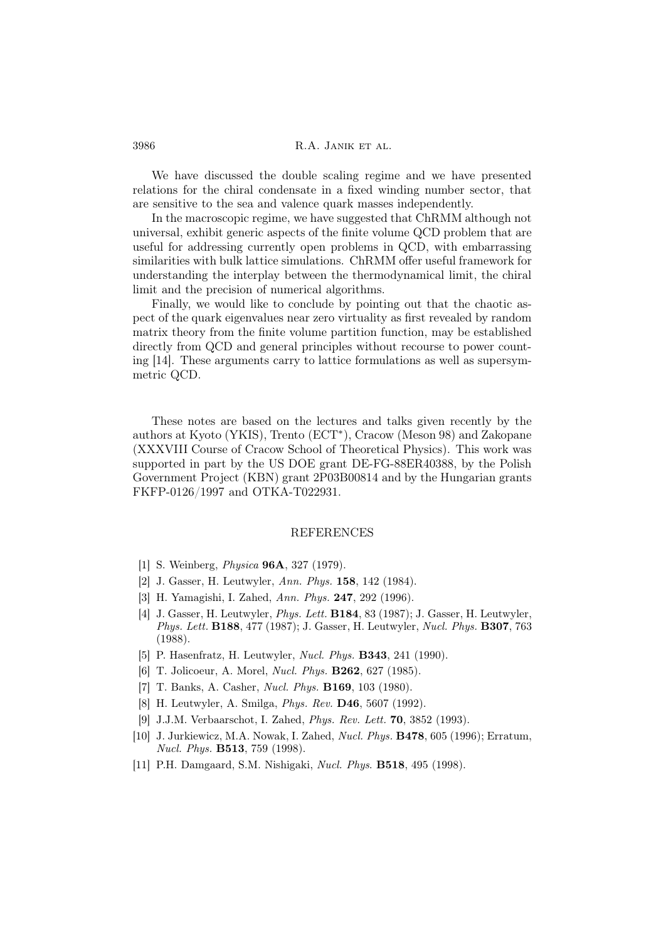We have discussed the double scaling regime and we have presented relations for the chiral condensate in a fixed winding number sector, that are sensitive to the sea and valence quark masses independently.

In the macroscopic regime, we have suggested that ChRMM although not universal, exhibit generic aspects of the finite volume QCD problem that are useful for addressing currently open problems in QCD, with embarrassing similarities with bulk lattice simulations. ChRMM offer useful framework for understanding the interplay between the thermodynamical limit, the chiral limit and the precision of numerical algorithms.

Finally, we would like to conclude by pointing out that the chaotic aspect of the quark eigenvalues near zero virtuality as first revealed by random matrix theory from the finite volume partition function, may be established directly from QCD and general principles without recourse to power counting [14]. These arguments carry to lattice formulations as well as supersymmetric QCD.

These notes are based on the lectures and talks given recently by the authors at Kyoto (YKIS), Trento (ECT<sup>∗</sup> ), Cracow (Meson 98) and Zakopane (XXXVIII Course of Cracow School of Theoretical Physics). This work was supported in part by the US DOE grant DE-FG-88ER40388, by the Polish Government Project (KBN) grant 2P03B00814 and by the Hungarian grants FKFP-0126/1997 and OTKA-T022931.

### **REFERENCES**

- [1] S. Weinberg, Physica 96A, 327 (1979).
- [2] J. Gasser, H. Leutwyler, Ann. Phys. 158, 142 (1984).
- [3] H. Yamagishi, I. Zahed, Ann. Phys. 247, 292 (1996).
- [4] J. Gasser, H. Leutwyler, Phys. Lett. B184, 83 (1987); J. Gasser, H. Leutwyler, Phys. Lett. **B188**, 477 (1987); J. Gasser, H. Leutwyler, Nucl. Phys. **B307**, 763 (1988).
- [5] P. Hasenfratz, H. Leutwyler, Nucl. Phys. B343, 241 (1990).
- [6] T. Jolicoeur, A. Morel, Nucl. Phys. B262, 627 (1985).
- [7] T. Banks, A. Casher, Nucl. Phys. B169, 103 (1980).
- [8] H. Leutwyler, A. Smilga, Phys. Rev. D46, 5607 (1992).
- [9] J.J.M. Verbaarschot, I. Zahed, Phys. Rev. Lett. 70, 3852 (1993).
- [10] J. Jurkiewicz, M.A. Nowak, I. Zahed, Nucl. Phys. B478, 605 (1996); Erratum, Nucl. Phys. B513, 759 (1998).
- [11] P.H. Damgaard, S.M. Nishigaki, Nucl. Phys. B518, 495 (1998).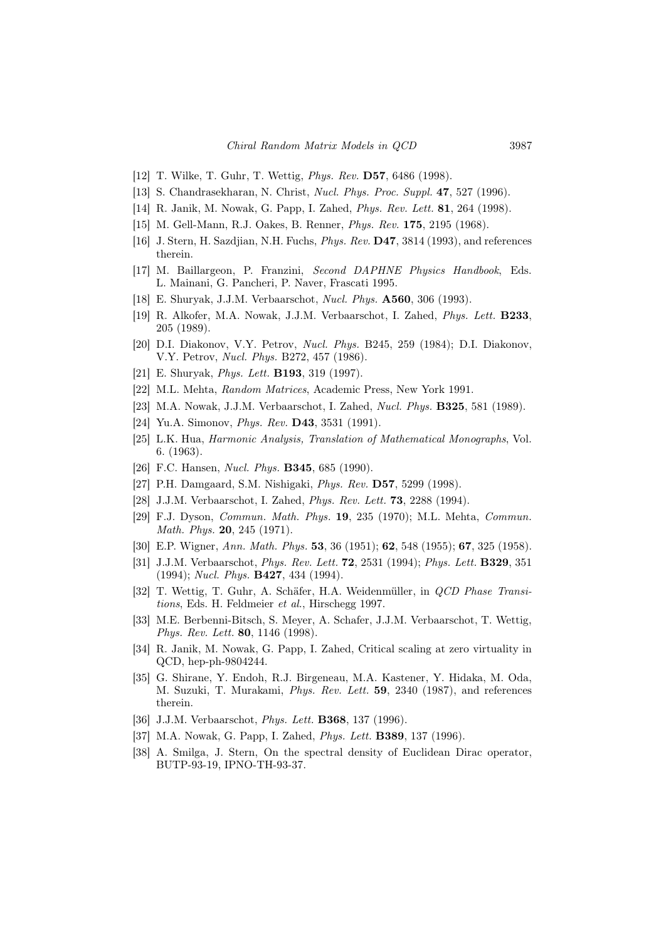- [12] T. Wilke, T. Guhr, T. Wettig, Phys. Rev. D57, 6486 (1998).
- [13] S. Chandrasekharan, N. Christ, *Nucl. Phys. Proc. Suppl.* **47**, 527 (1996).
- [14] R. Janik, M. Nowak, G. Papp, I. Zahed, Phys. Rev. Lett. 81, 264 (1998).
- [15] M. Gell-Mann, R.J. Oakes, B. Renner, Phys. Rev. 175, 2195 (1968).
- [16] J. Stern, H. Sazdjian, N.H. Fuchs, Phys. Rev. D47, 3814 (1993), and references therein.
- [17] M. Baillargeon, P. Franzini, Second DAPHNE Physics Handbook, Eds. L. Mainani, G. Pancheri, P. Naver, Frascati 1995.
- [18] E. Shuryak, J.J.M. Verbaarschot, Nucl. Phys. A560, 306 (1993).
- [19] R. Alkofer, M.A. Nowak, J.J.M. Verbaarschot, I. Zahed, Phys. Lett. B233, 205 (1989).
- [20] D.I. Diakonov, V.Y. Petrov, Nucl. Phys. B245, 259 (1984); D.I. Diakonov, V.Y. Petrov, Nucl. Phys. B272, 457 (1986).
- [21] E. Shuryak, *Phys. Lett.* **B193**, 319 (1997).
- [22] M.L. Mehta, Random Matrices, Academic Press, New York 1991.
- [23] M.A. Nowak, J.J.M. Verbaarschot, I. Zahed, Nucl. Phys. B325, 581 (1989).
- [24] Yu.A. Simonov, *Phys. Rev.* **D43**, 3531 (1991).
- [25] L.K. Hua, Harmonic Analysis, Translation of Mathematical Monographs, Vol. 6. (1963).
- [26] F.C. Hansen, *Nucl. Phys.* **B345**, 685 (1990).
- [27] P.H. Damgaard, S.M. Nishigaki, *Phys. Rev.* **D57**, 5299 (1998).
- [28] J.J.M. Verbaarschot, I. Zahed, *Phys. Rev. Lett.* **73**, 2288 (1994).
- [29] F.J. Dyson, Commun. Math. Phys. 19, 235 (1970); M.L. Mehta, Commun. Math. Phys. 20, 245 (1971).
- [30] E.P. Wigner, Ann. Math. Phys. 53, 36 (1951); 62, 548 (1955); 67, 325 (1958).
- [31] J.J.M. Verbaarschot, *Phys. Rev. Lett.* **72**, 2531 (1994); *Phys. Lett.* **B329**, 351 (1994); Nucl. Phys. B427, 434 (1994).
- [32] T. Wettig, T. Guhr, A. Schäfer, H.A. Weidenmüller, in QCD Phase Transitions, Eds. H. Feldmeier et al., Hirschegg 1997.
- [33] M.E. Berbenni-Bitsch, S. Meyer, A. Schafer, J.J.M. Verbaarschot, T. Wettig, Phys. Rev. Lett. 80, 1146 (1998).
- [34] R. Janik, M. Nowak, G. Papp, I. Zahed, Critical scaling at zero virtuality in QCD, hep-ph-9804244.
- [35] G. Shirane, Y. Endoh, R.J. Birgeneau, M.A. Kastener, Y. Hidaka, M. Oda, M. Suzuki, T. Murakami, Phys. Rev. Lett. 59, 2340 (1987), and references therein.
- [36] J.J.M. Verbaarschot, *Phys. Lett.* **B368**, 137 (1996).
- [37] M.A. Nowak, G. Papp, I. Zahed, *Phys. Lett.* **B389**, 137 (1996).
- [38] A. Smilga, J. Stern, On the spectral density of Euclidean Dirac operator, BUTP-93-19, IPNO-TH-93-37.